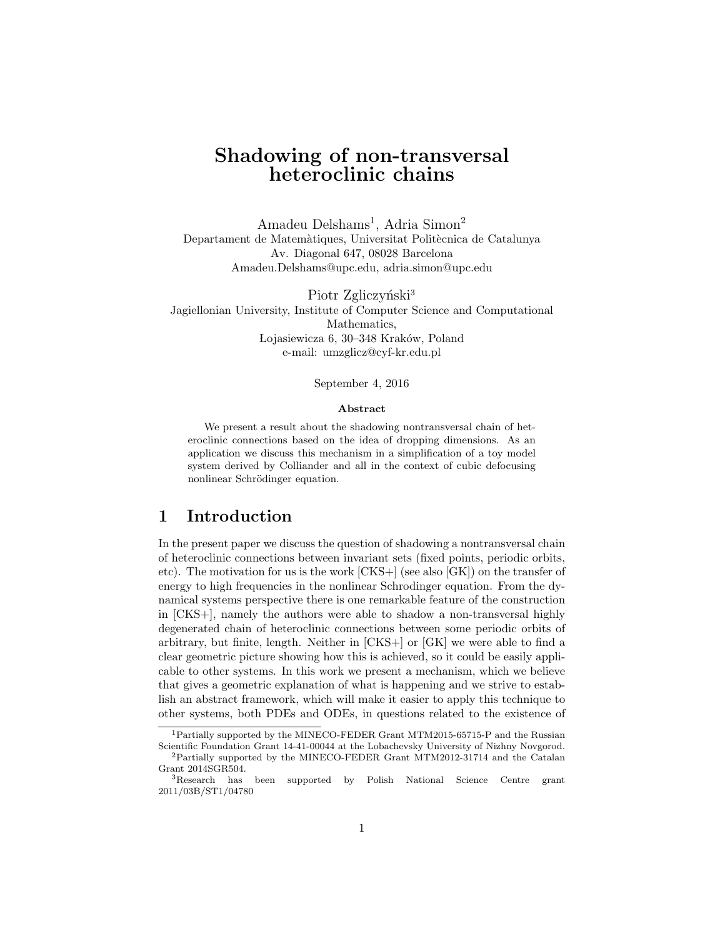# Shadowing of non-transversal heteroclinic chains

Amadeu Delshams<sup>1</sup>, Adria Simon<sup>2</sup> Departament de Matemàtiques, Universitat Politècnica de Catalunya Av. Diagonal 647, 08028 Barcelona Amadeu.Delshams@upc.edu, adria.simon@upc.edu

Piotr Zgliczyński<sup>3</sup> Jagiellonian University, Institute of Computer Science and Computational Mathematics, Lojasiewicza 6, 30–348 Kraków, Poland e-mail: umzglicz@cyf-kr.edu.pl

#### September 4, 2016

#### Abstract

We present a result about the shadowing nontransversal chain of heteroclinic connections based on the idea of dropping dimensions. As an application we discuss this mechanism in a simplification of a toy model system derived by Colliander and all in the context of cubic defocusing nonlinear Schrödinger equation.

## 1 Introduction

In the present paper we discuss the question of shadowing a nontransversal chain of heteroclinic connections between invariant sets (fixed points, periodic orbits, etc). The motivation for us is the work  $[CKS+]$  (see also  $[GK]$ ) on the transfer of energy to high frequencies in the nonlinear Schrodinger equation. From the dynamical systems perspective there is one remarkable feature of the construction in [CKS+], namely the authors were able to shadow a non-transversal highly degenerated chain of heteroclinic connections between some periodic orbits of arbitrary, but finite, length. Neither in [CKS+] or [GK] we were able to find a clear geometric picture showing how this is achieved, so it could be easily applicable to other systems. In this work we present a mechanism, which we believe that gives a geometric explanation of what is happening and we strive to establish an abstract framework, which will make it easier to apply this technique to other systems, both PDEs and ODEs, in questions related to the existence of

<sup>1</sup>Partially supported by the MINECO-FEDER Grant MTM2015-65715-P and the Russian Scientific Foundation Grant 14-41-00044 at the Lobachevsky University of Nizhny Novgorod.

 ${}^{2}$ Partially supported by the MINECO-FEDER Grant MTM2012-31714 and the Catalan Grant 2014SGR504.

<sup>3</sup>Research has been supported by Polish National Science Centre grant 2011/03B/ST1/04780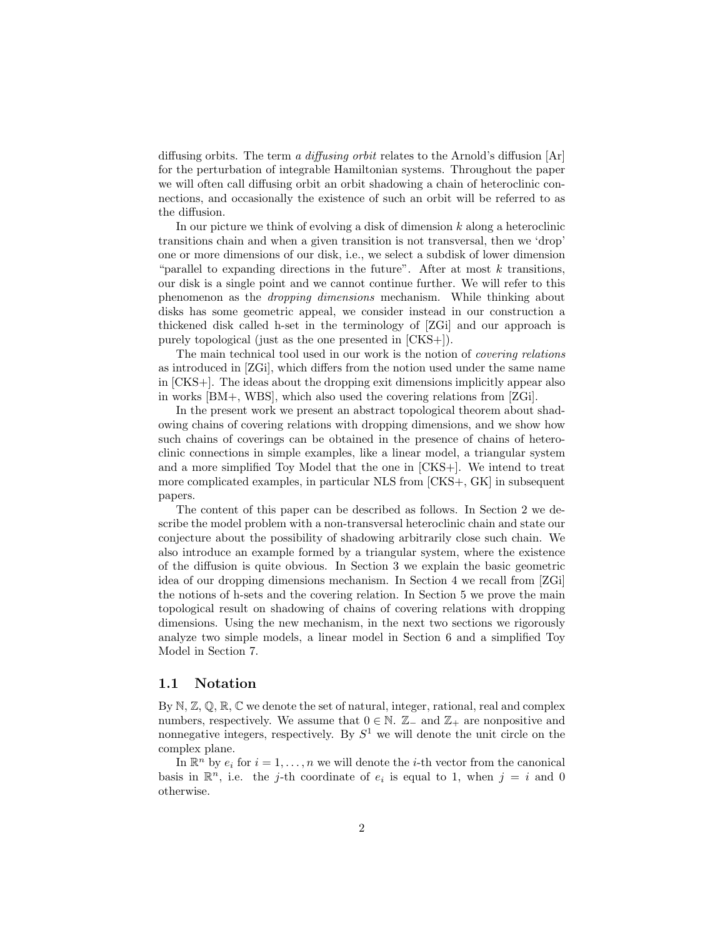diffusing orbits. The term a diffusing orbit relates to the Arnold's diffusion  $[Ar]$ for the perturbation of integrable Hamiltonian systems. Throughout the paper we will often call diffusing orbit an orbit shadowing a chain of heteroclinic connections, and occasionally the existence of such an orbit will be referred to as the diffusion.

In our picture we think of evolving a disk of dimension  $k$  along a heteroclinic transitions chain and when a given transition is not transversal, then we 'drop' one or more dimensions of our disk, i.e., we select a subdisk of lower dimension "parallel to expanding directions in the future". After at most  $k$  transitions, our disk is a single point and we cannot continue further. We will refer to this phenomenon as the dropping dimensions mechanism. While thinking about disks has some geometric appeal, we consider instead in our construction a thickened disk called h-set in the terminology of [ZGi] and our approach is purely topological (just as the one presented in [CKS+]).

The main technical tool used in our work is the notion of covering relations as introduced in [ZGi], which differs from the notion used under the same name in [CKS+]. The ideas about the dropping exit dimensions implicitly appear also in works [BM+, WBS], which also used the covering relations from [ZGi].

In the present work we present an abstract topological theorem about shadowing chains of covering relations with dropping dimensions, and we show how such chains of coverings can be obtained in the presence of chains of heteroclinic connections in simple examples, like a linear model, a triangular system and a more simplified Toy Model that the one in [CKS+]. We intend to treat more complicated examples, in particular NLS from [CKS+, GK] in subsequent papers.

The content of this paper can be described as follows. In Section 2 we describe the model problem with a non-transversal heteroclinic chain and state our conjecture about the possibility of shadowing arbitrarily close such chain. We also introduce an example formed by a triangular system, where the existence of the diffusion is quite obvious. In Section 3 we explain the basic geometric idea of our dropping dimensions mechanism. In Section 4 we recall from [ZGi] the notions of h-sets and the covering relation. In Section 5 we prove the main topological result on shadowing of chains of covering relations with dropping dimensions. Using the new mechanism, in the next two sections we rigorously analyze two simple models, a linear model in Section 6 and a simplified Toy Model in Section 7.

#### 1.1 Notation

By  $\mathbb{N}, \mathbb{Z}, \mathbb{Q}, \mathbb{R}, \mathbb{C}$  we denote the set of natural, integer, rational, real and complex numbers, respectively. We assume that  $0 \in \mathbb{N}$ .  $\mathbb{Z}_-$  and  $\mathbb{Z}_+$  are nonpositive and nonnegative integers, respectively. By  $S^1$  we will denote the unit circle on the complex plane.

In  $\mathbb{R}^n$  by  $e_i$  for  $i = 1, ..., n$  we will denote the *i*-th vector from the canonical basis in  $\mathbb{R}^n$ , i.e. the j-th coordinate of  $e_i$  is equal to 1, when  $j = i$  and 0 otherwise.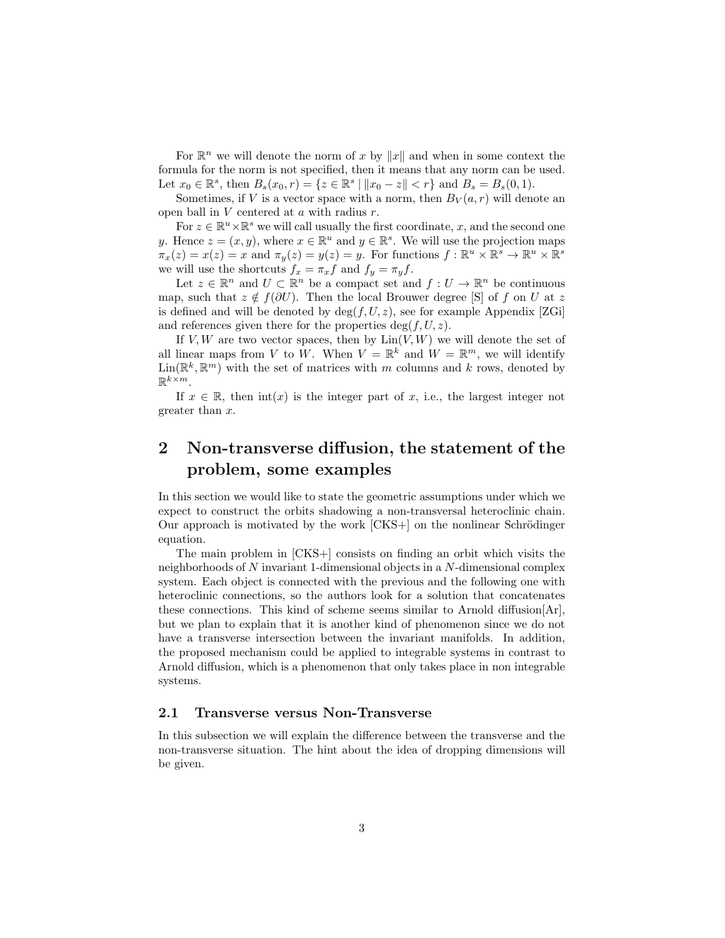For  $\mathbb{R}^n$  we will denote the norm of x by  $||x||$  and when in some context the formula for the norm is not specified, then it means that any norm can be used. Let  $x_0 \in \mathbb{R}^s$ , then  $B_s(x_0, r) = \{z \in \mathbb{R}^s \mid ||x_0 - z|| < r\}$  and  $B_s = B_s(0, 1)$ .

Sometimes, if V is a vector space with a norm, then  $B_V(a, r)$  will denote an open ball in  $V$  centered at  $a$  with radius  $r$ .

For  $z \in \mathbb{R}^u \times \mathbb{R}^s$  we will call usually the first coordinate, x, and the second one y. Hence  $z = (x, y)$ , where  $x \in \mathbb{R}^u$  and  $y \in \mathbb{R}^s$ . We will use the projection maps  $\pi_x(z) = x(z) = x$  and  $\pi_y(z) = y(z) = y$ . For functions  $f: \mathbb{R}^u \times \mathbb{R}^s \to \mathbb{R}^u \times \mathbb{R}^s$ we will use the shortcuts  $f_x = \pi_x f$  and  $f_y = \pi_y f$ .

Let  $z \in \mathbb{R}^n$  and  $U \subset \mathbb{R}^n$  be a compact set and  $f: U \to \mathbb{R}^n$  be continuous map, such that  $z \notin f(\partial U)$ . Then the local Brouwer degree [S] of f on U at z is defined and will be denoted by  $deg(f, U, z)$ , see for example Appendix [ZGi] and references given there for the properties  $deg(f, U, z)$ .

If V, W are two vector spaces, then by  $\text{Lin}(V, W)$  we will denote the set of all linear maps from V to W. When  $V = \mathbb{R}^k$  and  $W = \mathbb{R}^m$ , we will identify  $\text{Lin}(\mathbb{R}^k, \mathbb{R}^m)$  with the set of matrices with m columns and k rows, denoted by  $\mathbb{R}^{k \times m}$ .

If  $x \in \mathbb{R}$ , then  $\text{int}(x)$  is the integer part of x, i.e., the largest integer not greater than x.

# 2 Non-transverse diffusion, the statement of the problem, some examples

In this section we would like to state the geometric assumptions under which we expect to construct the orbits shadowing a non-transversal heteroclinic chain. Our approach is motivated by the work  $[CKS+]$  on the nonlinear Schrödinger equation.

The main problem in [CKS+] consists on finding an orbit which visits the neighborhoods of N invariant 1-dimensional objects in a N-dimensional complex system. Each object is connected with the previous and the following one with heteroclinic connections, so the authors look for a solution that concatenates these connections. This kind of scheme seems similar to Arnold diffusion[Ar], but we plan to explain that it is another kind of phenomenon since we do not have a transverse intersection between the invariant manifolds. In addition, the proposed mechanism could be applied to integrable systems in contrast to Arnold diffusion, which is a phenomenon that only takes place in non integrable systems.

#### 2.1 Transverse versus Non-Transverse

In this subsection we will explain the difference between the transverse and the non-transverse situation. The hint about the idea of dropping dimensions will be given.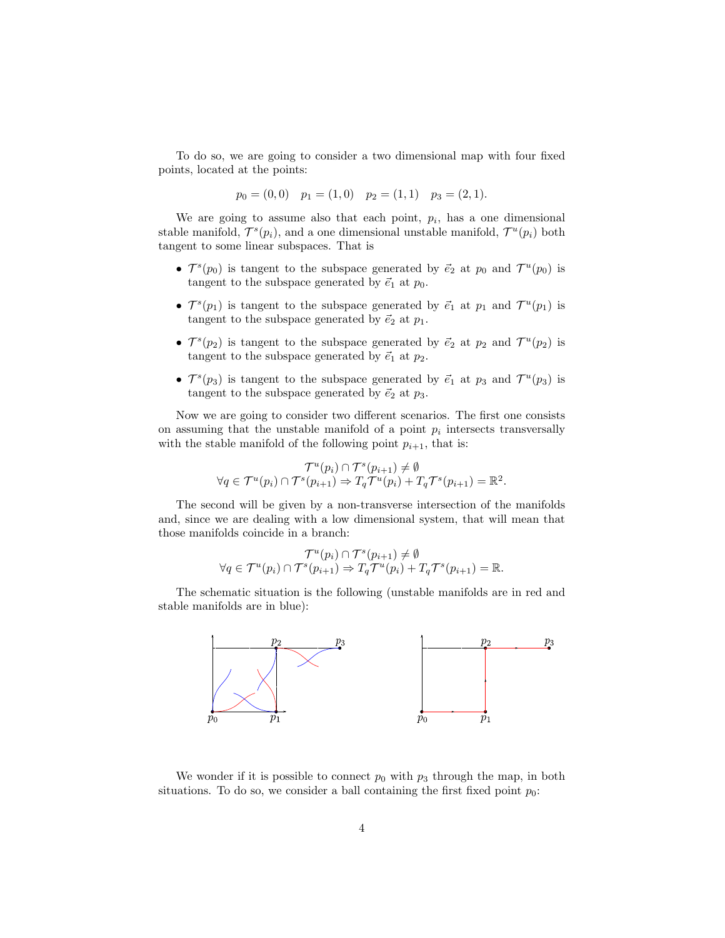To do so, we are going to consider a two dimensional map with four fixed points, located at the points:

$$
p_0 = (0,0)
$$
  $p_1 = (1,0)$   $p_2 = (1,1)$   $p_3 = (2,1)$ .

We are going to assume also that each point,  $p_i$ , has a one dimensional stable manifold,  $\mathcal{T}^s(p_i)$ , and a one dimensional unstable manifold,  $\mathcal{T}^u(p_i)$  both tangent to some linear subspaces. That is

- $\mathcal{T}^s(p_0)$  is tangent to the subspace generated by  $\vec{e}_2$  at  $p_0$  and  $\mathcal{T}^u(p_0)$  is tangent to the subspace generated by  $\vec{e}_1$  at  $p_0$ .
- $\mathcal{T}^s(p_1)$  is tangent to the subspace generated by  $\vec{e}_1$  at  $p_1$  and  $\mathcal{T}^u(p_1)$  is tangent to the subspace generated by  $\vec{e}_2$  at  $p_1$ .
- $\mathcal{T}^s(p_2)$  is tangent to the subspace generated by  $\vec{e}_2$  at  $p_2$  and  $\mathcal{T}^u(p_2)$  is tangent to the subspace generated by  $\vec{e}_1$  at  $p_2$ .
- $\mathcal{T}^s(p_3)$  is tangent to the subspace generated by  $\vec{e}_1$  at  $p_3$  and  $\mathcal{T}^u(p_3)$  is tangent to the subspace generated by  $\vec{e}_2$  at  $p_3$ .

Now we are going to consider two different scenarios. The first one consists on assuming that the unstable manifold of a point  $p_i$  intersects transversally with the stable manifold of the following point  $p_{i+1}$ , that is:

$$
\mathcal{T}^u(p_i) \cap \mathcal{T}^s(p_{i+1}) \neq \emptyset
$$
  

$$
\forall q \in \mathcal{T}^u(p_i) \cap \mathcal{T}^s(p_{i+1}) \Rightarrow T_q \mathcal{T}^u(p_i) + T_q \mathcal{T}^s(p_{i+1}) = \mathbb{R}^2.
$$

The second will be given by a non-transverse intersection of the manifolds and, since we are dealing with a low dimensional system, that will mean that those manifolds coincide in a branch:

$$
\mathcal{T}^{u}(p_i) \cap \mathcal{T}^{s}(p_{i+1}) \neq \emptyset
$$
  
\n
$$
\forall q \in \mathcal{T}^{u}(p_i) \cap \mathcal{T}^{s}(p_{i+1}) \Rightarrow T_q \mathcal{T}^{u}(p_i) + T_q \mathcal{T}^{s}(p_{i+1}) = \mathbb{R}.
$$

The schematic situation is the following (unstable manifolds are in red and stable manifolds are in blue):



We wonder if it is possible to connect  $p_0$  with  $p_3$  through the map, in both situations. To do so, we consider a ball containing the first fixed point  $p_0$ :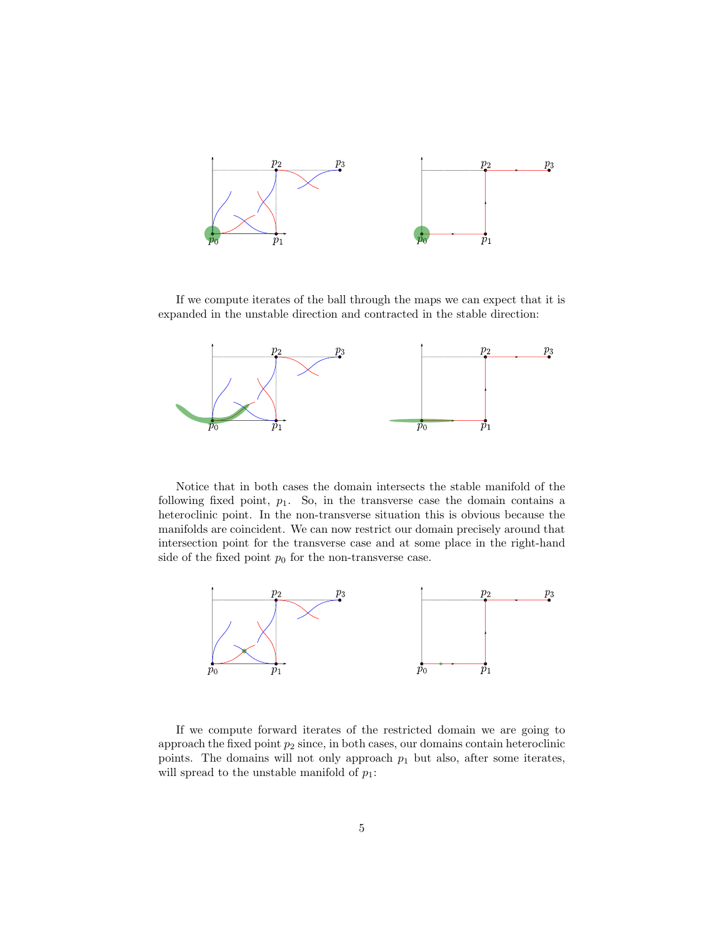

If we compute iterates of the ball through the maps we can expect that it is expanded in the unstable direction and contracted in the stable direction:



Notice that in both cases the domain intersects the stable manifold of the following fixed point,  $p_1$ . So, in the transverse case the domain contains a heteroclinic point. In the non-transverse situation this is obvious because the manifolds are coincident. We can now restrict our domain precisely around that intersection point for the transverse case and at some place in the right-hand side of the fixed point  $p_0$  for the non-transverse case.



If we compute forward iterates of the restricted domain we are going to approach the fixed point  $p_2$  since, in both cases, our domains contain heteroclinic points. The domains will not only approach  $p_1$  but also, after some iterates, will spread to the unstable manifold of  $p_1$ :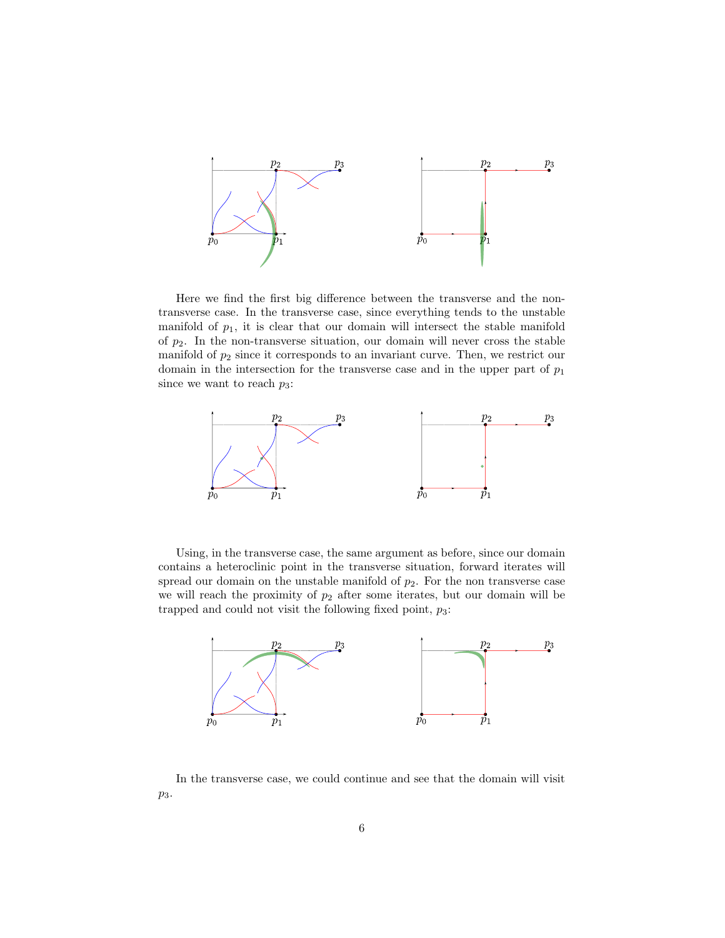

Here we find the first big difference between the transverse and the nontransverse case. In the transverse case, since everything tends to the unstable manifold of  $p_1$ , it is clear that our domain will intersect the stable manifold of  $p_2$ . In the non-transverse situation, our domain will never cross the stable manifold of  $p_2$  since it corresponds to an invariant curve. Then, we restrict our domain in the intersection for the transverse case and in the upper part of  $p_1$ since we want to reach  $p_3$ :



Using, in the transverse case, the same argument as before, since our domain contains a heteroclinic point in the transverse situation, forward iterates will spread our domain on the unstable manifold of  $p_2$ . For the non transverse case we will reach the proximity of  $p_2$  after some iterates, but our domain will be trapped and could not visit the following fixed point,  $p_3$ :



In the transverse case, we could continue and see that the domain will visit  $p_3$ .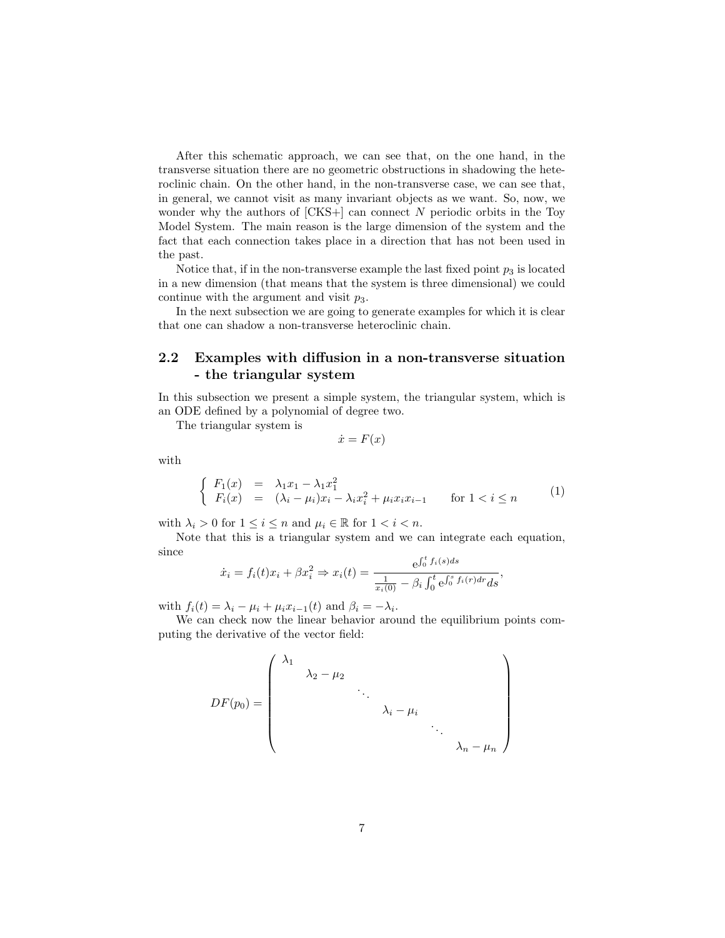After this schematic approach, we can see that, on the one hand, in the transverse situation there are no geometric obstructions in shadowing the heteroclinic chain. On the other hand, in the non-transverse case, we can see that, in general, we cannot visit as many invariant objects as we want. So, now, we wonder why the authors of  $[CKS+]$  can connect  $N$  periodic orbits in the Toy Model System. The main reason is the large dimension of the system and the fact that each connection takes place in a direction that has not been used in the past.

Notice that, if in the non-transverse example the last fixed point  $p_3$  is located in a new dimension (that means that the system is three dimensional) we could continue with the argument and visit  $p_3$ .

In the next subsection we are going to generate examples for which it is clear that one can shadow a non-transverse heteroclinic chain.

## 2.2 Examples with diffusion in a non-transverse situation - the triangular system

In this subsection we present a simple system, the triangular system, which is an ODE defined by a polynomial of degree two.

The triangular system is

$$
\dot{x} = F(x)
$$

with

$$
\begin{cases}\nF_1(x) = \lambda_1 x_1 - \lambda_1 x_1^2 \\
F_i(x) = (\lambda_i - \mu_i)x_i - \lambda_i x_i^2 + \mu_i x_i x_{i-1} \quad \text{for } 1 < i \le n\n\end{cases}
$$
\n(1)

with  $\lambda_i > 0$  for  $1 \leq i \leq n$  and  $\mu_i \in \mathbb{R}$  for  $1 < i < n$ .

Note that this is a triangular system and we can integrate each equation, since

$$
\dot{x}_i = f_i(t)x_i + \beta x_i^2 \Rightarrow x_i(t) = \frac{e^{\int_0^t f_i(s)ds}}{\frac{1}{x_i(0)} - \beta_i \int_0^t e^{\int_0^s f_i(r)dr} ds},
$$

with  $f_i(t) = \lambda_i - \mu_i + \mu_i x_{i-1}(t)$  and  $\beta_i = -\lambda_i$ .

We can check now the linear behavior around the equilibrium points computing the derivative of the vector field:

$$
DF(p_0) = \begin{pmatrix} \lambda_1 & & & & \\ & \lambda_2 - \mu_2 & & & \\ & & \ddots & & \\ & & & \lambda_i - \mu_i & \\ & & & & \ddots \\ & & & & & \lambda_n - \mu_n \end{pmatrix}
$$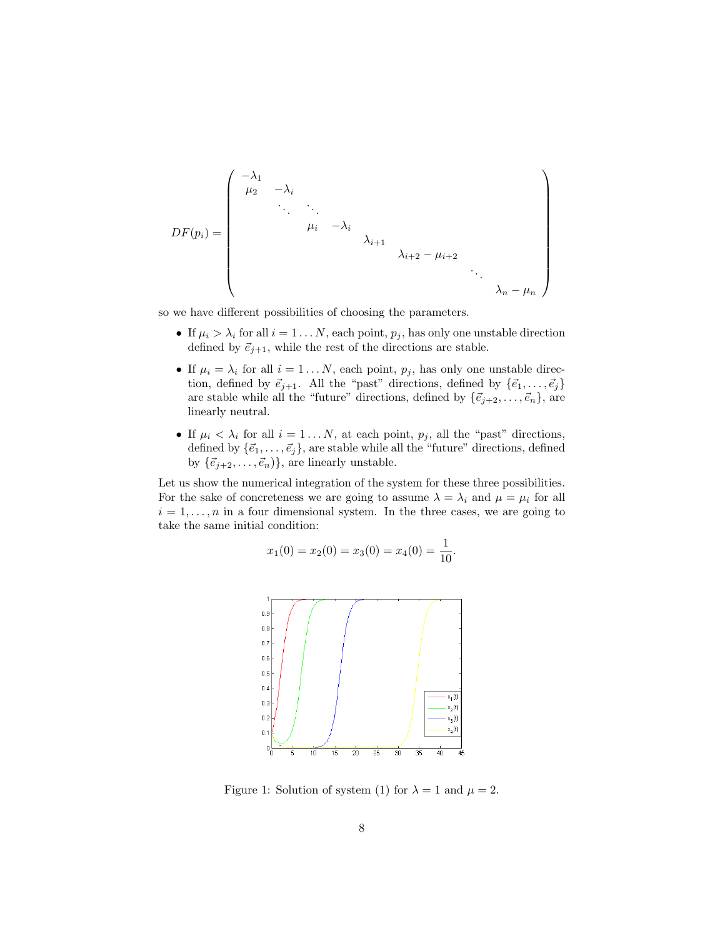$$
DF(p_i) = \begin{pmatrix} -\lambda_1 & & & & & & & \\ \mu_2 & -\lambda_i & & & & & & \\ & \ddots & \ddots & \ddots & & & & \\ & & \mu_i & -\lambda_i & & & & \\ & & & \lambda_{i+1} & & & & \\ & & & & \lambda_{i+2} - \mu_{i+2} & & \\ & & & & & \ddots & \\ & & & & & & \lambda_n - \mu_n \end{pmatrix}
$$

so we have different possibilities of choosing the parameters.

- If  $\mu_i > \lambda_i$  for all  $i = 1 \dots N$ , each point,  $p_j$ , has only one unstable direction defined by  $\vec{e}_{j+1}$ , while the rest of the directions are stable.
- If  $\mu_i = \lambda_i$  for all  $i = 1...N$ , each point,  $p_j$ , has only one unstable direction, defined by  $\vec{e}_{j+1}$ . All the "past" directions, defined by  $\{\vec{e}_1, \ldots, \vec{e}_j\}$ are stable while all the "future" directions, defined by  $\{\vec{e}_{j+2}, \ldots, \vec{e}_n\}$ , are linearly neutral.
- If  $\mu_i < \lambda_i$  for all  $i = 1...N$ , at each point,  $p_j$ , all the "past" directions, defined by  $\{\vec{e}_1, \ldots, \vec{e}_j\}$ , are stable while all the "future" directions, defined by  $\{\vec{e}_{j+2}, \ldots, \vec{e}_n\}$ , are linearly unstable.

Let us show the numerical integration of the system for these three possibilities. For the sake of concreteness we are going to assume  $\lambda = \lambda_i$  and  $\mu = \mu_i$  for all  $i = 1, \ldots, n$  in a four dimensional system. In the three cases, we are going to take the same initial condition:

$$
x_1(0) = x_2(0) = x_3(0) = x_4(0) = \frac{1}{10}.
$$



Figure 1: Solution of system (1) for  $\lambda = 1$  and  $\mu = 2$ .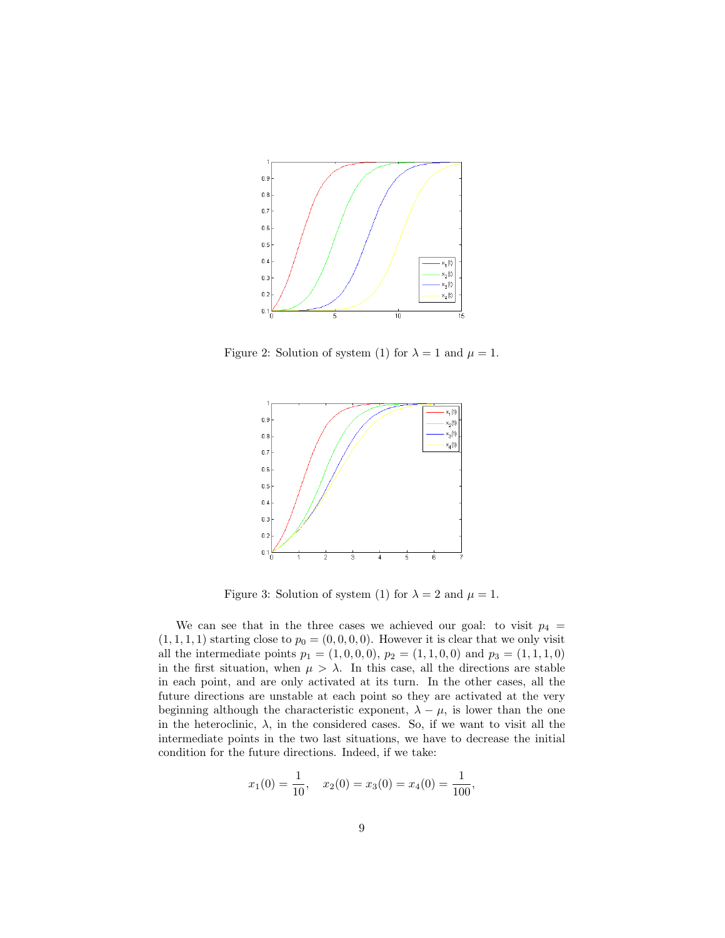

Figure 2: Solution of system (1) for  $\lambda = 1$  and  $\mu = 1$ .



Figure 3: Solution of system (1) for  $\lambda = 2$  and  $\mu = 1$ .

We can see that in the three cases we achieved our goal: to visit  $p_4$  =  $(1, 1, 1, 1)$  starting close to  $p_0 = (0, 0, 0, 0)$ . However it is clear that we only visit all the intermediate points  $p_1 = (1, 0, 0, 0), p_2 = (1, 1, 0, 0)$  and  $p_3 = (1, 1, 1, 0)$ in the first situation, when  $\mu > \lambda$ . In this case, all the directions are stable in each point, and are only activated at its turn. In the other cases, all the future directions are unstable at each point so they are activated at the very beginning although the characteristic exponent,  $\lambda - \mu$ , is lower than the one in the heteroclinic,  $\lambda$ , in the considered cases. So, if we want to visit all the intermediate points in the two last situations, we have to decrease the initial condition for the future directions. Indeed, if we take:

$$
x_1(0) = \frac{1}{10}
$$
,  $x_2(0) = x_3(0) = x_4(0) = \frac{1}{100}$ ,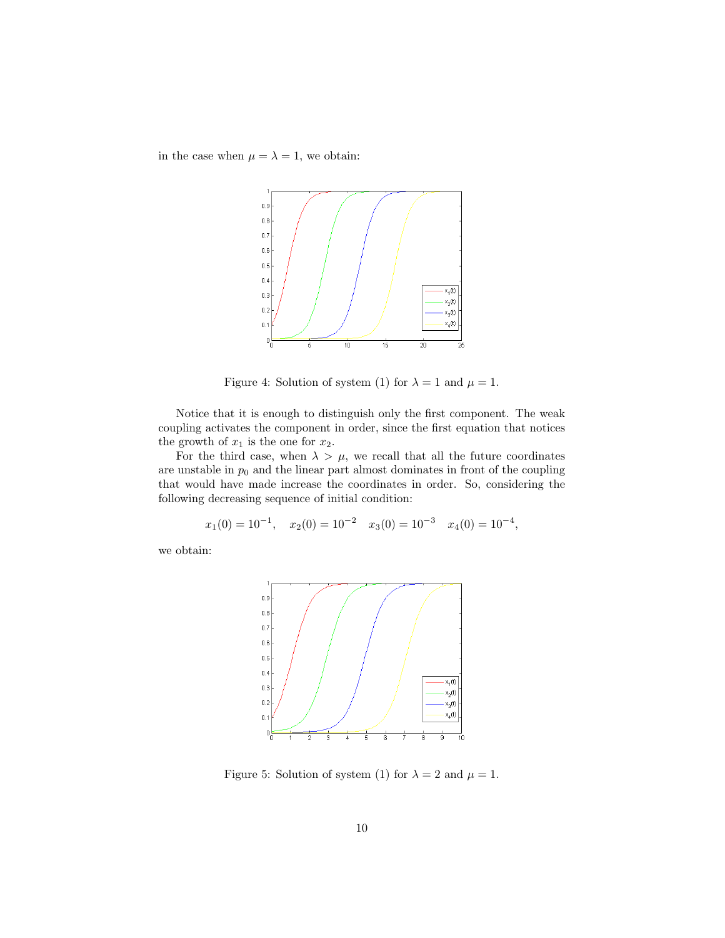in the case when  $\mu = \lambda = 1$ , we obtain:



Figure 4: Solution of system (1) for  $\lambda = 1$  and  $\mu = 1$ .

Notice that it is enough to distinguish only the first component. The weak coupling activates the component in order, since the first equation that notices the growth of  $x_1$  is the one for  $x_2$ .

For the third case, when  $\lambda > \mu$ , we recall that all the future coordinates are unstable in  $p_0$  and the linear part almost dominates in front of the coupling that would have made increase the coordinates in order. So, considering the following decreasing sequence of initial condition:

$$
x_1(0) = 10^{-1}
$$
,  $x_2(0) = 10^{-2}$   $x_3(0) = 10^{-3}$   $x_4(0) = 10^{-4}$ ,

we obtain:



Figure 5: Solution of system (1) for  $\lambda = 2$  and  $\mu = 1$ .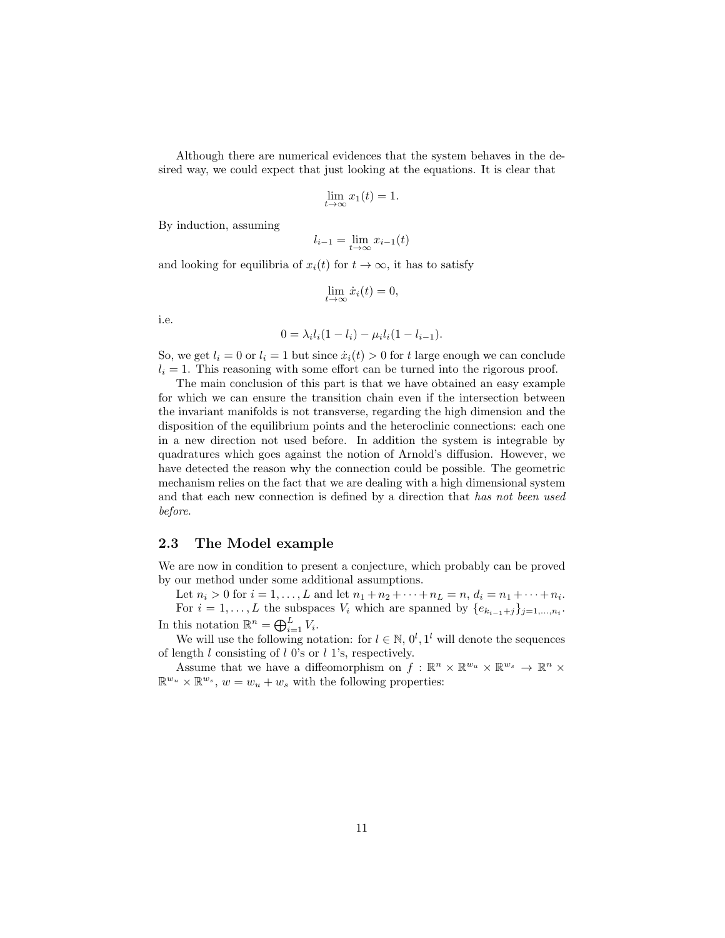Although there are numerical evidences that the system behaves in the desired way, we could expect that just looking at the equations. It is clear that

$$
\lim_{t \to \infty} x_1(t) = 1.
$$

By induction, assuming

$$
l_{i-1} = \lim_{t \to \infty} x_{i-1}(t)
$$

and looking for equilibria of  $x_i(t)$  for  $t \to \infty$ , it has to satisfy

$$
\lim_{t \to \infty} \dot{x}_i(t) = 0,
$$

i.e.

$$
0 = \lambda_i l_i (1 - l_i) - \mu_i l_i (1 - l_{i-1}).
$$

So, we get  $l_i = 0$  or  $l_i = 1$  but since  $\dot{x}_i(t) > 0$  for t large enough we can conclude  $l_i = 1$ . This reasoning with some effort can be turned into the rigorous proof.

The main conclusion of this part is that we have obtained an easy example for which we can ensure the transition chain even if the intersection between the invariant manifolds is not transverse, regarding the high dimension and the disposition of the equilibrium points and the heteroclinic connections: each one in a new direction not used before. In addition the system is integrable by quadratures which goes against the notion of Arnold's diffusion. However, we have detected the reason why the connection could be possible. The geometric mechanism relies on the fact that we are dealing with a high dimensional system and that each new connection is defined by a direction that has not been used before.

#### 2.3 The Model example

We are now in condition to present a conjecture, which probably can be proved by our method under some additional assumptions.

Let  $n_i > 0$  for  $i = 1, ..., L$  and let  $n_1 + n_2 + \cdots + n_L = n, d_i = n_1 + \cdots + n_i$ . For  $i = 1, \ldots, L$  the subspaces  $V_i$  which are spanned by  $\{e_{k_{i-1}+j}\}_{j=1,\ldots,n_i}$ . In this notation  $\mathbb{R}^n = \bigoplus_{i=1}^L V_i$ .

We will use the following notation: for  $l \in \mathbb{N}$ ,  $0^l$ ,  $1^l$  will denote the sequences of length  $l$  consisting of  $l$  0's or  $l$  1's, respectively.

Assume that we have a diffeomorphism on  $f : \mathbb{R}^n \times \mathbb{R}^{w_u} \times \mathbb{R}^{w_s} \to \mathbb{R}^n \times$  $\mathbb{R}^{w_u} \times \mathbb{R}^{w_s}$ ,  $w = w_u + w_s$  with the following properties: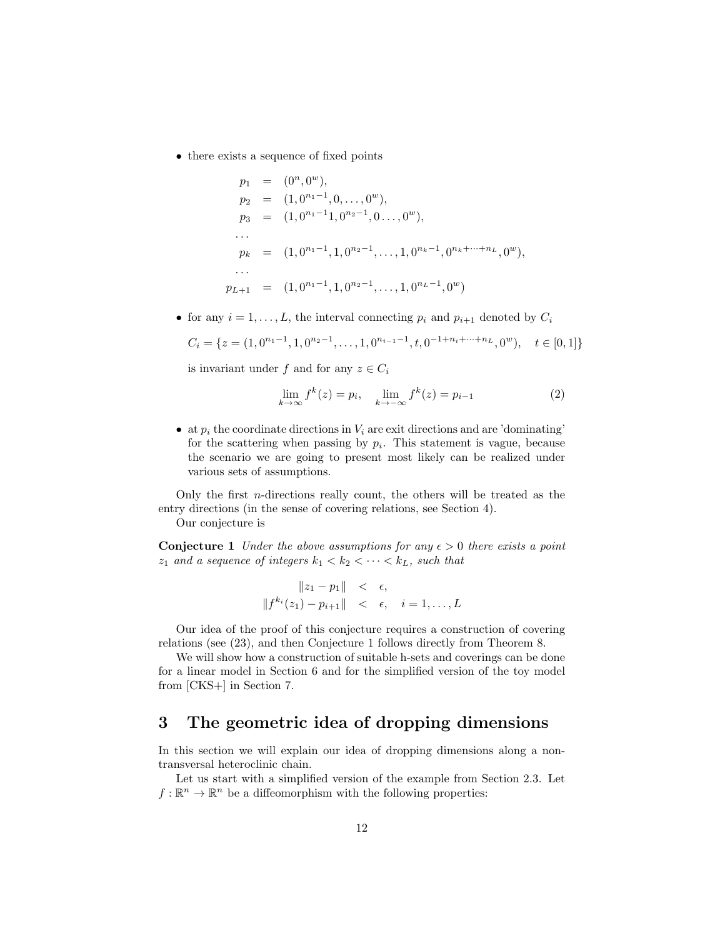• there exists a sequence of fixed points

$$
p_1 = (0^n, 0^w),
$$
  
\n
$$
p_2 = (1, 0^{n_1 - 1}, 0, \dots, 0^w),
$$
  
\n
$$
p_3 = (1, 0^{n_1 - 1}, 0^{n_2 - 1}, 0 \dots, 0^w),
$$
  
\n
$$
\vdots
$$
  
\n
$$
p_k = (1, 0^{n_1 - 1}, 1, 0^{n_2 - 1}, \dots, 1, 0^{n_k - 1}, 0^{n_k + \dots + n_L}, 0^w),
$$
  
\n
$$
\vdots
$$
  
\n
$$
p_{L+1} = (1, 0^{n_1 - 1}, 1, 0^{n_2 - 1}, \dots, 1, 0^{n_L - 1}, 0^w)
$$

• for any  $i = 1, ..., L$ , the interval connecting  $p_i$  and  $p_{i+1}$  denoted by  $C_i$ 

$$
C_i = \{ z = (1, 0^{n_1 - 1}, 1, 0^{n_2 - 1}, \dots, 1, 0^{n_{i-1} - 1}, t, 0^{-1 + n_i + \dots + n_L}, 0^w), \quad t \in [0, 1] \}
$$

is invariant under f and for any  $z \in C_i$ 

$$
\lim_{k \to \infty} f^k(z) = p_i, \quad \lim_{k \to -\infty} f^k(z) = p_{i-1}
$$
 (2)

• at  $p_i$  the coordinate directions in  $V_i$  are exit directions and are 'dominating' for the scattering when passing by  $p_i$ . This statement is vague, because the scenario we are going to present most likely can be realized under various sets of assumptions.

Only the first  $n$ -directions really count, the others will be treated as the entry directions (in the sense of covering relations, see Section 4).

Our conjecture is

**Conjecture 1** Under the above assumptions for any  $\epsilon > 0$  there exists a point  $z_1$  and a sequence of integers  $k_1 < k_2 < \cdots < k_L$ , such that

$$
||z_1 - p_1|| < \epsilon,
$$
  

$$
||f^{k_i}(z_1) - p_{i+1}|| < \epsilon, \quad i = 1, ..., L
$$

Our idea of the proof of this conjecture requires a construction of covering relations (see (23), and then Conjecture 1 follows directly from Theorem 8.

We will show how a construction of suitable h-sets and coverings can be done for a linear model in Section 6 and for the simplified version of the toy model from [CKS+] in Section 7.

## 3 The geometric idea of dropping dimensions

In this section we will explain our idea of dropping dimensions along a nontransversal heteroclinic chain.

Let us start with a simplified version of the example from Section 2.3. Let  $f: \mathbb{R}^n \to \mathbb{R}^n$  be a diffeomorphism with the following properties: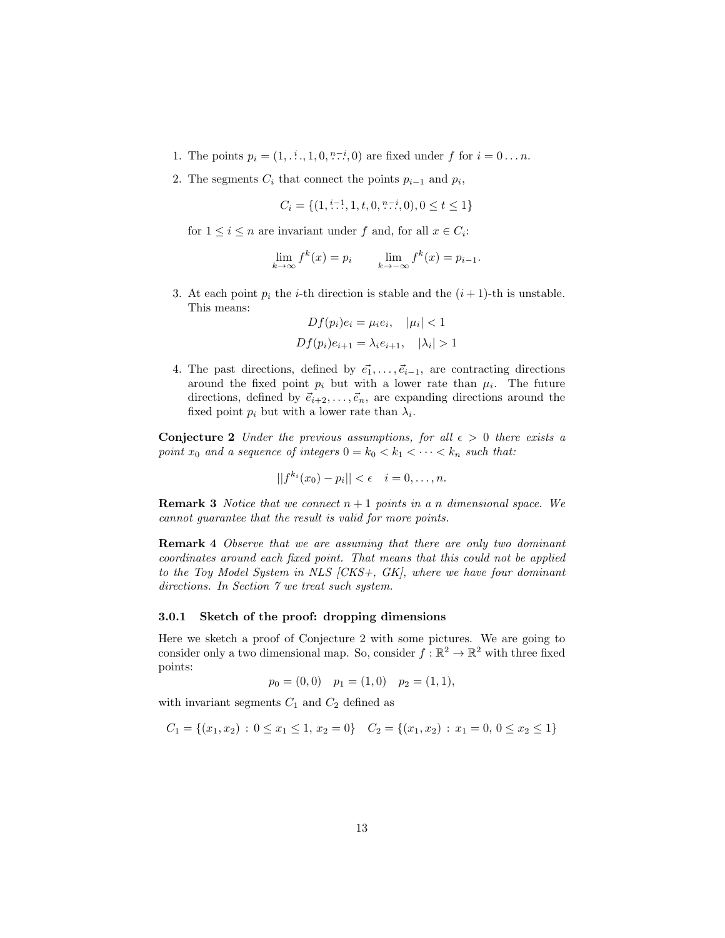- 1. The points  $p_i = (1, \dots, 1, 0, \dots, 0)$  are fixed under f for  $i = 0 \dots n$ .
- 2. The segments  $C_i$  that connect the points  $p_{i-1}$  and  $p_i$ ,

$$
C_i = \{ (1, \stackrel{i-1}{\ldots}, 1, t, 0, \stackrel{n-i}{\ldots}, 0), 0 \le t \le 1 \}
$$

for  $1 \leq i \leq n$  are invariant under f and, for all  $x \in C_i$ :

$$
\lim_{k \to \infty} f^k(x) = p_i \qquad \lim_{k \to -\infty} f^k(x) = p_{i-1}.
$$

3. At each point  $p_i$  the *i*-th direction is stable and the  $(i + 1)$ -th is unstable. This means:

$$
Df(p_i)e_i = \mu_i e_i, \quad |\mu_i| < 1
$$
\n
$$
Df(p_i)e_{i+1} = \lambda_i e_{i+1}, \quad |\lambda_i| > 1
$$

4. The past directions, defined by  $\vec{e_1}, \ldots, \vec{e}_{i-1}$ , are contracting directions around the fixed point  $p_i$  but with a lower rate than  $\mu_i$ . The future directions, defined by  $\vec{e}_{i+2}, \ldots, \vec{e}_n$ , are expanding directions around the fixed point  $p_i$  but with a lower rate than  $\lambda_i$ .

**Conjecture 2** Under the previous assumptions, for all  $\epsilon > 0$  there exists a point  $x_0$  and a sequence of integers  $0 = k_0 < k_1 < \cdots < k_n$  such that:

$$
||f^{k_i}(x_0)-p_i|| < \epsilon \quad i=0,\ldots,n.
$$

**Remark 3** Notice that we connect  $n + 1$  points in a n dimensional space. We cannot guarantee that the result is valid for more points.

Remark 4 Observe that we are assuming that there are only two dominant coordinates around each fixed point. That means that this could not be applied to the Toy Model System in NLS [CKS+, GK], where we have four dominant directions. In Section 7 we treat such system.

#### 3.0.1 Sketch of the proof: dropping dimensions

Here we sketch a proof of Conjecture 2 with some pictures. We are going to consider only a two dimensional map. So, consider  $f : \mathbb{R}^2 \to \mathbb{R}^2$  with three fixed points:

$$
p_0 = (0,0)
$$
  $p_1 = (1,0)$   $p_2 = (1,1)$ ,

with invariant segments  $C_1$  and  $C_2$  defined as

$$
C_1 = \{(x_1, x_2) : 0 \le x_1 \le 1, x_2 = 0\} \quad C_2 = \{(x_1, x_2) : x_1 = 0, 0 \le x_2 \le 1\}
$$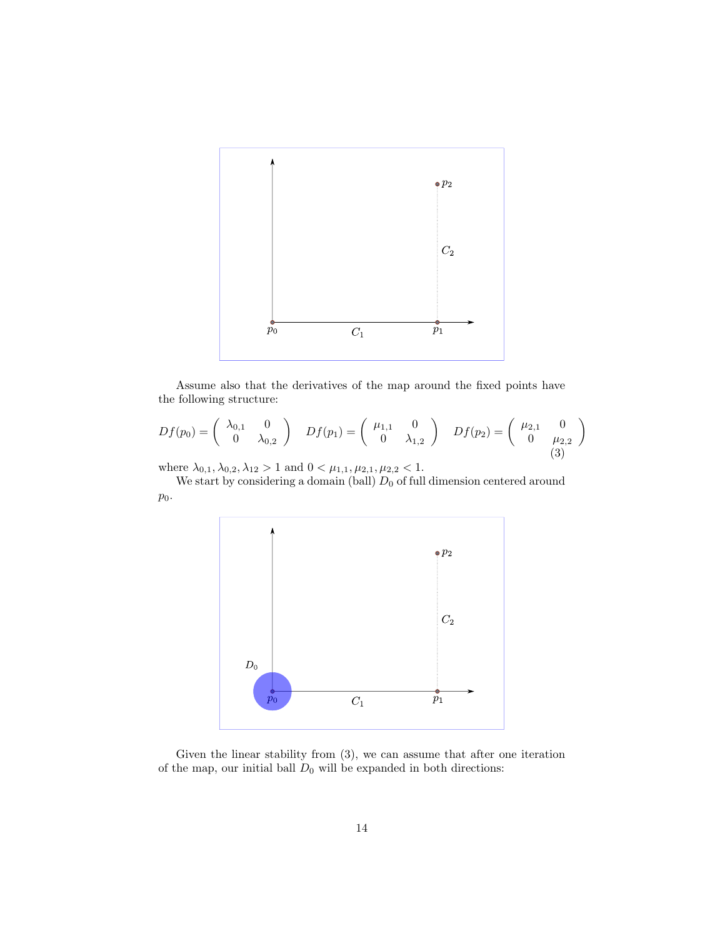

Assume also that the derivatives of the map around the fixed points have the following structure:

$$
Df(p_0) = \begin{pmatrix} \lambda_{0,1} & 0 \\ 0 & \lambda_{0,2} \end{pmatrix} \quad Df(p_1) = \begin{pmatrix} \mu_{1,1} & 0 \\ 0 & \lambda_{1,2} \end{pmatrix} \quad Df(p_2) = \begin{pmatrix} \mu_{2,1} & 0 \\ 0 & \mu_{2,2} \end{pmatrix}
$$
 (3)

where  $\lambda_{0,1}, \lambda_{0,2}, \lambda_{12} > 1$  and  $0 < \mu_{1,1}, \mu_{2,1}, \mu_{2,2} < 1$ .

We start by considering a domain (ball)  $D_0$  of full dimension centered around  $p_0.$ 



Given the linear stability from (3), we can assume that after one iteration of the map, our initial ball  ${\mathcal D}_0$  will be expanded in both directions: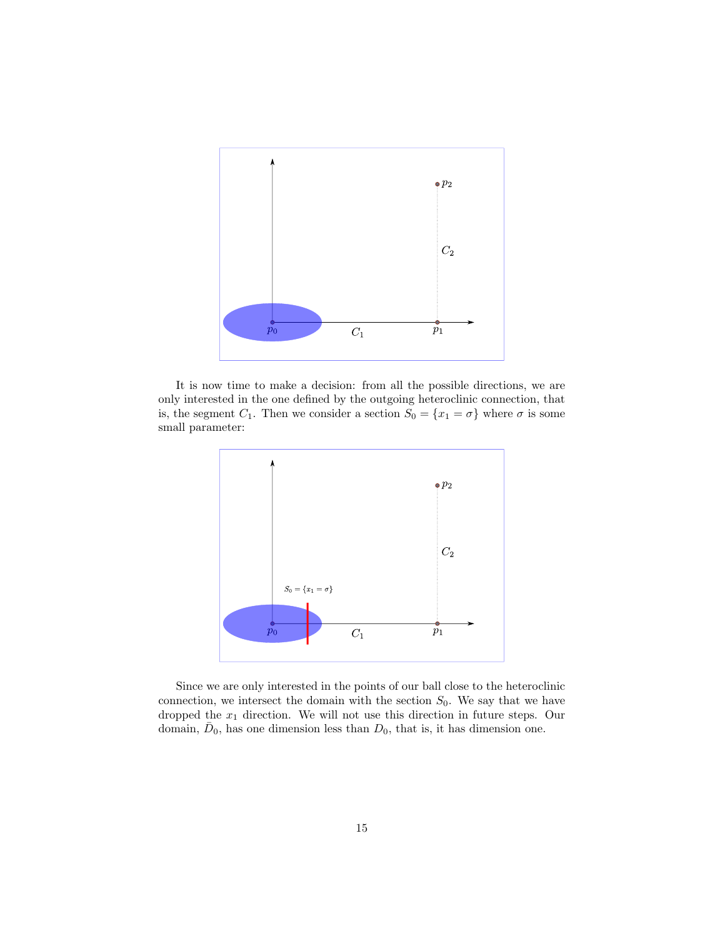

It is now time to make a decision: from all the possible directions, we are only interested in the one defined by the outgoing heteroclinic connection, that is, the segment  $C_1$ . Then we consider a section  $S_0 = \{x_1 = \sigma\}$  where  $\sigma$  is some small parameter:



Since we are only interested in the points of our ball close to the heteroclinic connection, we intersect the domain with the section  $S_0$ . We say that we have dropped the  $x_1$  direction. We will not use this direction in future steps. Our domain,  $\bar{D}_0$ , has one dimension less than  $D_0$ , that is, it has dimension one.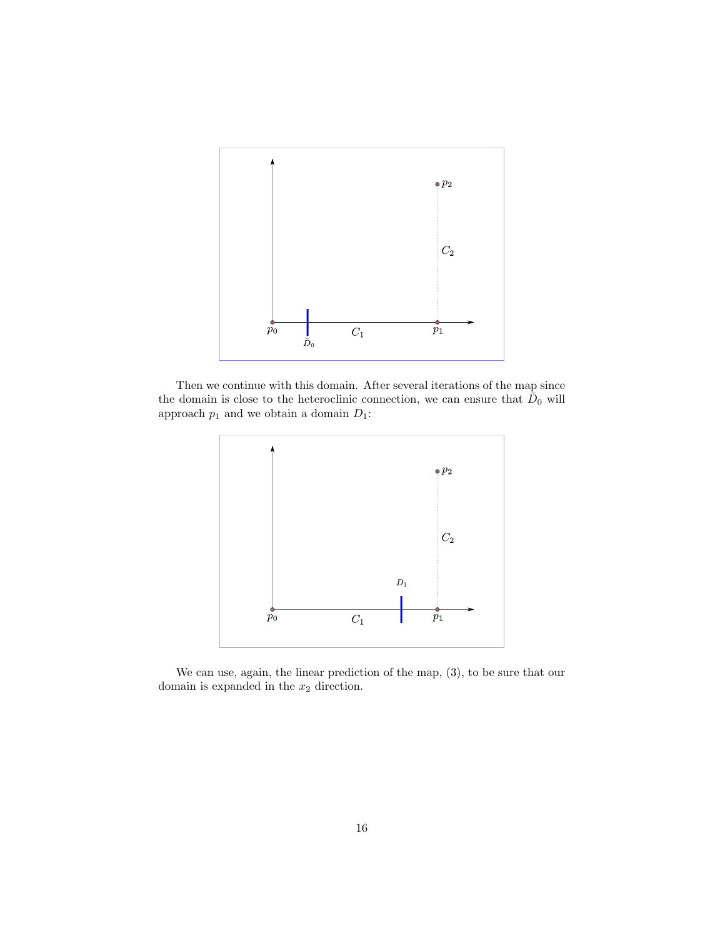

Then we continue with this domain. After several iterations of the map since the domain is close to the heteroclinic connection, we can ensure that  $\bar{D}_0$  will approach  $p_1$  and we obtain a domain  ${\cal D}_1;$ 



We can use, again, the linear prediction of the map, (3), to be sure that our domain is expanded in the  $\boldsymbol{x}_2$  direction.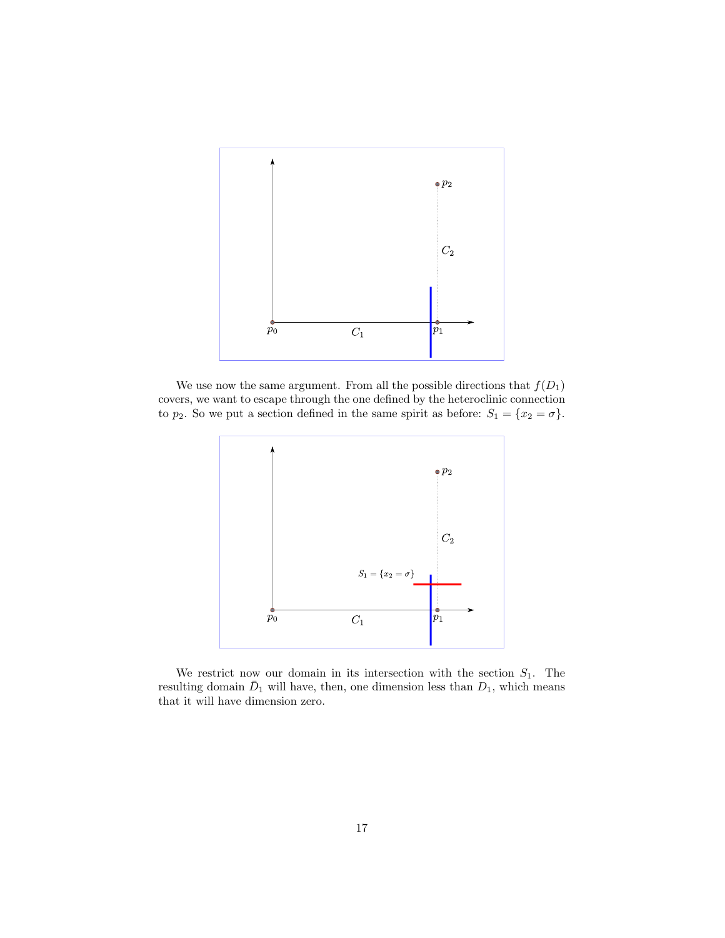

We use now the same argument. From all the possible directions that  $f(D_1)$ covers, we want to escape through the one defined by the heteroclinic connection to  $p_2$ . So we put a section defined in the same spirit as before:  $S_1 = \{x_2 = \sigma\}$ .



We restrict now our domain in its intersection with the section  $S_1$ . The resulting domain  $\bar{D}_1$  will have, then, one dimension less than  $D_1$ , which means that it will have dimension zero.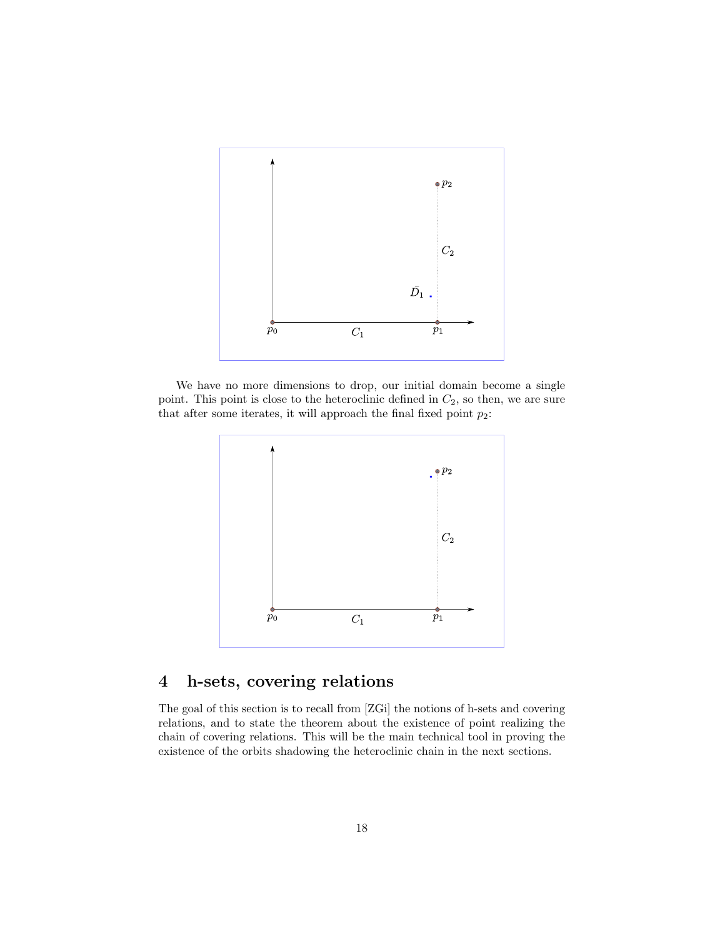

We have no more dimensions to drop, our initial domain become a single point. This point is close to the heteroclinic defined in  $C_2$ , so then, we are sure that after some iterates, it will approach the final fixed point  $p_2$ :



# 4 h-sets, covering relations

The goal of this section is to recall from [ZGi] the notions of h-sets and covering relations, and to state the theorem about the existence of point realizing the chain of covering relations. This will be the main technical tool in proving the existence of the orbits shadowing the heteroclinic chain in the next sections.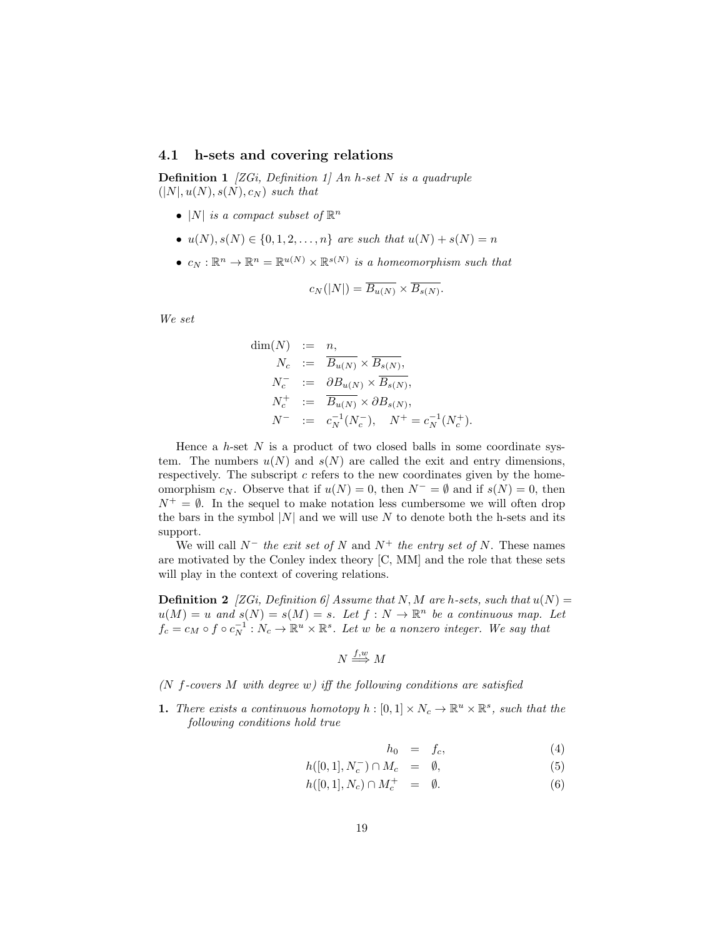### 4.1 h-sets and covering relations

**Definition 1** [ZGi, Definition 1] An h-set N is a quadruple  $(|N|, u(N), s(N), c_N)$  such that

- |N| is a compact subset of  $\mathbb{R}^n$
- $u(N), s(N) \in \{0, 1, 2, ..., n\}$  are such that  $u(N) + s(N) = n$
- $c_N : \mathbb{R}^n \to \mathbb{R}^n = \mathbb{R}^{u(N)} \times \mathbb{R}^{s(N)}$  is a homeomorphism such that

$$
c_N(|N|) = \overline{B_{u(N)}} \times \overline{B_{s(N)}}.
$$

We set

$$
\dim(N) := n,
$$
  
\n
$$
N_c := \overline{B_{u(N)}} \times \overline{B_{s(N)}},
$$
  
\n
$$
N_c^- := \partial B_{u(N)} \times \overline{B_{s(N)}},
$$
  
\n
$$
N_c^+ := \overline{B_{u(N)}} \times \partial B_{s(N)},
$$
  
\n
$$
N^- := c_N^{-1}(N_c^-), \quad N^+ = c_N^{-1}(N_c^+).
$$

Hence a  $h$ -set N is a product of two closed balls in some coordinate system. The numbers  $u(N)$  and  $s(N)$  are called the exit and entry dimensions, respectively. The subscript  $c$  refers to the new coordinates given by the homeomorphism  $c_N$ . Observe that if  $u(N) = 0$ , then  $N^- = \emptyset$  and if  $s(N) = 0$ , then  $N^+ = \emptyset$ . In the sequel to make notation less cumbersome we will often drop the bars in the symbol  $|N|$  and we will use N to denote both the h-sets and its support.

We will call  $N^-$  the exit set of N and  $N^+$  the entry set of N. These names are motivated by the Conley index theory [C, MM] and the role that these sets will play in the context of covering relations.

**Definition 2** [ZGi, Definition 6] Assume that N, M are h-sets, such that  $u(N) =$  $u(M) = u$  and  $s(N) = s(M) = s$ . Let  $f : N \to \mathbb{R}^n$  be a continuous map. Let  $f_c = c_M \circ f \circ c_N^{-1}: N_c \to \mathbb{R}^u \times \mathbb{R}^s$ . Let w be a nonzero integer. We say that

$$
N \stackrel{f,w}{\Longrightarrow} M
$$

( $N$  f-covers  $M$  with degree  $w$ ) iff the following conditions are satisfied

**1.** There exists a continuous homotopy  $h : [0,1] \times N_c \to \mathbb{R}^u \times \mathbb{R}^s$ , such that the following conditions hold true

$$
h_0 = f_c, \tag{4}
$$

$$
h([0,1], N_c^-) \cap M_c = \emptyset, \tag{5}
$$

$$
h([0,1], N_c) \cap M_c^+ = \emptyset. \tag{6}
$$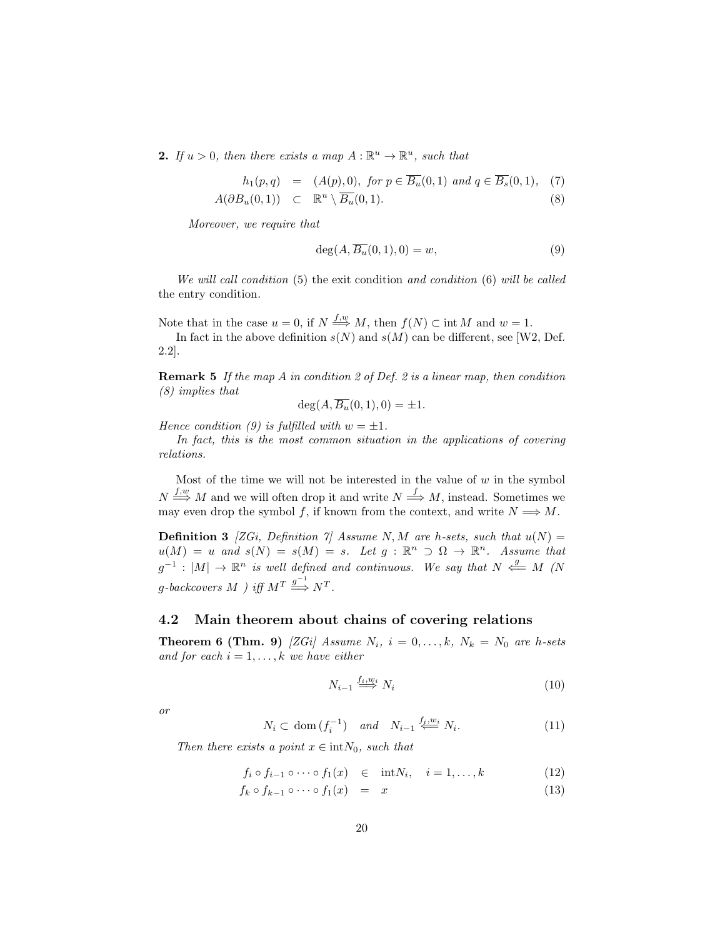**2.** If  $u > 0$ , then there exists a map  $A : \mathbb{R}^u \to \mathbb{R}^u$ , such that

$$
h_1(p,q) = (A(p), 0), \text{ for } p \in \overline{B_u}(0,1) \text{ and } q \in \overline{B_s}(0,1), \tag{7}
$$

$$
A(\partial B_u(0,1)) \quad \subset \quad \mathbb{R}^u \setminus \overline{B_u}(0,1). \tag{8}
$$

Moreover, we require that

$$
\deg(A, \overline{B_u}(0,1), 0) = w,\tag{9}
$$

We will call condition (5) the exit condition and condition (6) will be called the entry condition.

Note that in the case  $u = 0$ , if  $N \stackrel{f,w}{\Longrightarrow} M$ , then  $f(N) \subset \text{int } M$  and  $w = 1$ .

In fact in the above definition  $s(N)$  and  $s(M)$  can be different, see [W2, Def. 2.2].

**Remark 5** If the map A in condition 2 of Def. 2 is a linear map, then condition (8) implies that

$$
\deg(A, \overline{B_u}(0,1), 0) = \pm 1.
$$

Hence condition (9) is fulfilled with  $w = \pm 1$ .

In fact, this is the most common situation in the applications of covering relations.

Most of the time we will not be interested in the value of  $w$  in the symbol  $N \stackrel{f,w}{\Longrightarrow} M$  and we will often drop it and write  $N \stackrel{f}{\Longrightarrow} M$ , instead. Sometimes we may even drop the symbol f, if known from the context, and write  $N \implies M$ .

**Definition 3** [ZGi, Definition 7] Assume N, M are h-sets, such that  $u(N) =$  $u(M) = u$  and  $s(N) = s(M) = s$ . Let  $g : \mathbb{R}^n \supset \Omega \to \mathbb{R}^n$ . Assume that  $g^{-1}: |M| \to \mathbb{R}^n$  is well defined and continuous. We say that  $N \stackrel{g}{\iff} M$  (N  $g\text{-}back covers\ M$  ) iff  $M^T \stackrel{g^{-1}}{\Longrightarrow} N^T$ .

## 4.2 Main theorem about chains of covering relations

**Theorem 6 (Thm. 9)** [ZGi] Assume  $N_i$ ,  $i = 0, \ldots, k$ ,  $N_k = N_0$  are h-sets and for each  $i = 1, \ldots, k$  we have either

$$
N_{i-1} \stackrel{f_i, w_i}{\Longrightarrow} N_i \tag{10}
$$

or

$$
N_i \subset \text{dom}\,(f_i^{-1}) \quad \text{and} \quad N_{i-1} \stackrel{f_j, w_i}{\Longleftarrow} N_i. \tag{11}
$$

Then there exists a point  $x \in \text{int}N_0$ , such that

$$
f_i \circ f_{i-1} \circ \cdots \circ f_1(x) \quad \in \quad \text{int}N_i, \quad i = 1, \dots, k \tag{12}
$$

$$
f_k \circ f_{k-1} \circ \cdots \circ f_1(x) = x \tag{13}
$$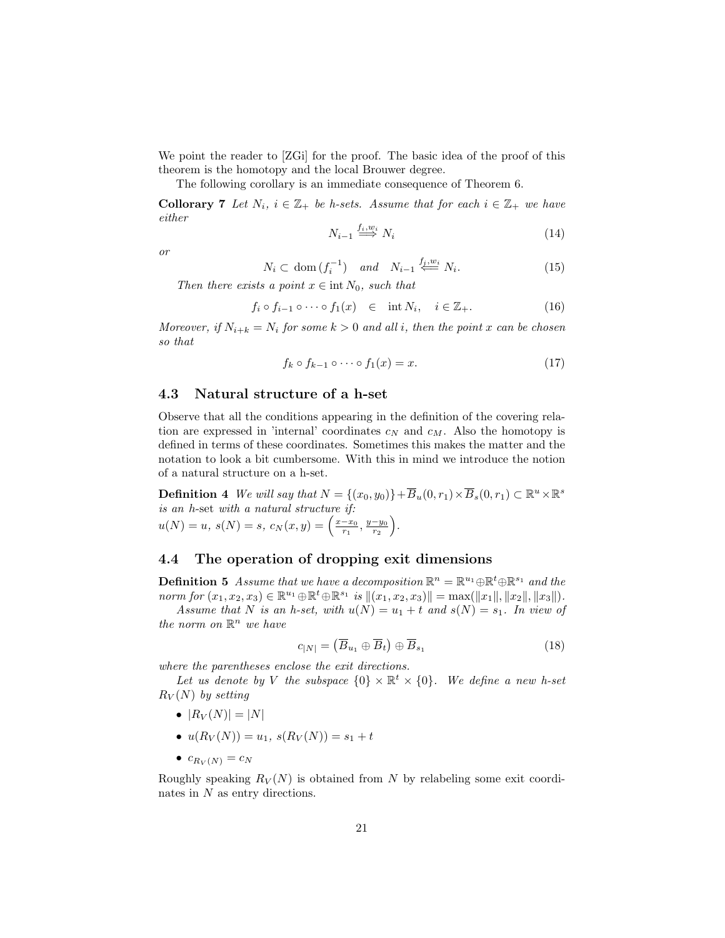We point the reader to [ZGi] for the proof. The basic idea of the proof of this theorem is the homotopy and the local Brouwer degree.

The following corollary is an immediate consequence of Theorem 6.

**Collorary 7** Let  $N_i$ ,  $i \in \mathbb{Z}_+$  be h-sets. Assume that for each  $i \in \mathbb{Z}_+$  we have either

$$
N_{i-1} \stackrel{f_i, w_i}{\Longrightarrow} N_i \tag{14}
$$

or

$$
N_i \subset \text{dom}\,(f_i^{-1}) \quad \text{and} \quad N_{i-1} \stackrel{f_j, w_i}{\Longleftarrow} N_i. \tag{15}
$$

Then there exists a point  $x \in \text{int } N_0$ , such that

$$
f_i \circ f_{i-1} \circ \cdots \circ f_1(x) \in \text{int } N_i, \quad i \in \mathbb{Z}_+.
$$
 (16)

Moreover, if  $N_{i+k} = N_i$  for some  $k > 0$  and all i, then the point x can be chosen so that

$$
f_k \circ f_{k-1} \circ \cdots \circ f_1(x) = x. \tag{17}
$$

### 4.3 Natural structure of a h-set

Observe that all the conditions appearing in the definition of the covering relation are expressed in 'internal' coordinates  $c_N$  and  $c_M$ . Also the homotopy is defined in terms of these coordinates. Sometimes this makes the matter and the notation to look a bit cumbersome. With this in mind we introduce the notion of a natural structure on a h-set.

**Definition 4** We will say that  $N = \{(x_0, y_0)\} + \overline{B}_u(0, r_1) \times \overline{B}_s(0, r_1) \subset \mathbb{R}^u \times \mathbb{R}^s$ is an h-set with a natural structure if:  $u(N) = u, s(N) = s, c_N(x, y) = \left(\frac{x - x_0}{r_1}, \frac{y - y_0}{r_2}\right).$ 

## 4.4 The operation of dropping exit dimensions

**Definition 5** Assume that we have a decomposition  $\mathbb{R}^n = \mathbb{R}^{u_1} \oplus \mathbb{R}^t \oplus \mathbb{R}^{s_1}$  and the norm for  $(x_1, x_2, x_3) \in \mathbb{R}^{u_1} \oplus \mathbb{R}^t \oplus \mathbb{R}^{s_1}$  is  $||(x_1, x_2, x_3)|| = \max(||x_1||, ||x_2||, ||x_3||)$ .

Assume that N is an h-set, with  $u(N) = u_1 + t$  and  $s(N) = s_1$ . In view of the norm on  $\mathbb{R}^n$  we have

$$
c_{|N|} = (\overline{B}_{u_1} \oplus \overline{B}_t) \oplus \overline{B}_{s_1} \tag{18}
$$

where the parentheses enclose the exit directions.

Let us denote by V the subspace  $\{0\} \times \mathbb{R}^t \times \{0\}$ . We define a new h-set  $R_V(N)$  by setting

- $|R_V(N)| = |N|$
- $u(R_V(N)) = u_1, s(R_V(N)) = s_1 + t$
- $c_{R_V(N)} = c_N$

Roughly speaking  $R_V(N)$  is obtained from N by relabeling some exit coordinates in  $N$  as entry directions.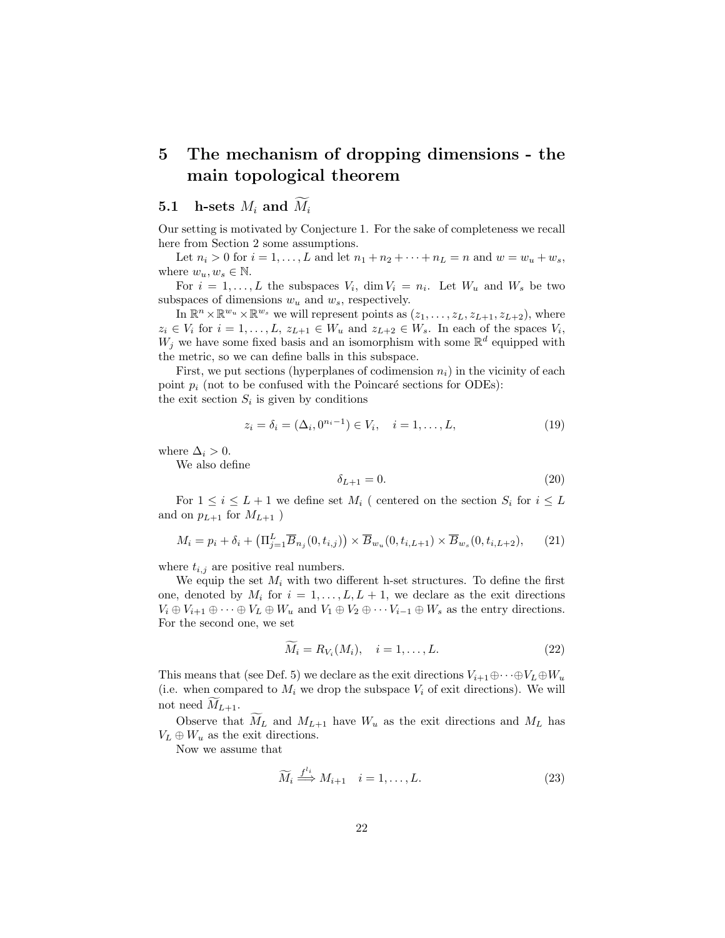# 5 The mechanism of dropping dimensions - the main topological theorem

## 5.1 h-sets  $M_i$  and  $\widetilde{M}_i$

Our setting is motivated by Conjecture 1. For the sake of completeness we recall here from Section 2 some assumptions.

Let  $n_i > 0$  for  $i = 1, ..., L$  and let  $n_1 + n_2 + \cdots + n_L = n$  and  $w = w_u + w_s$ , where  $w_u, w_s \in \mathbb{N}$ .

For  $i = 1, ..., L$  the subspaces  $V_i$ ,  $\dim V_i = n_i$ . Let  $W_u$  and  $W_s$  be two subspaces of dimensions  $w_u$  and  $w_s$ , respectively.

In  $\mathbb{R}^n \times \mathbb{R}^{w_u} \times \mathbb{R}^{w_s}$  we will represent points as  $(z_1, \ldots, z_L, z_{L+1}, z_{L+2})$ , where  $z_i \in V_i$  for  $i = 1, \ldots, L, z_{L+1} \in W_u$  and  $z_{L+2} \in W_s$ . In each of the spaces  $V_i$ ,  $W_j$  we have some fixed basis and an isomorphism with some  $\mathbb{R}^d$  equipped with the metric, so we can define balls in this subspace.

First, we put sections (hyperplanes of codimension  $n_i$ ) in the vicinity of each point  $p_i$  (not to be confused with the Poincaré sections for ODEs):

the exit section  $S_i$  is given by conditions

$$
z_i = \delta_i = (\Delta_i, 0^{n_i - 1}) \in V_i, \quad i = 1, \dots, L,
$$
\n(19)

where  $\Delta_i > 0$ .

We also define

$$
\delta_{L+1} = 0.\tag{20}
$$

For  $1 \leq i \leq L+1$  we define set  $M_i$  ( centered on the section  $S_i$  for  $i \leq L$ and on  $p_{L+1}$  for  $M_{L+1}$ )

$$
M_i = p_i + \delta_i + \left(\Pi_{j=1}^L \overline{B}_{n_j}(0, t_{i,j})\right) \times \overline{B}_{w_u}(0, t_{i,L+1}) \times \overline{B}_{w_s}(0, t_{i,L+2}),\tag{21}
$$

where  $t_{i,j}$  are positive real numbers.

We equip the set  $M_i$  with two different h-set structures. To define the first one, denoted by  $M_i$  for  $i = 1, ..., L, L + 1$ , we declare as the exit directions  $V_i \oplus V_{i+1} \oplus \cdots \oplus V_L \oplus W_u$  and  $V_1 \oplus V_2 \oplus \cdots V_{i-1} \oplus W_s$  as the entry directions. For the second one, we set

$$
\widetilde{M}_i = R_{V_i}(M_i), \quad i = 1, \dots, L. \tag{22}
$$

This means that (see Def. 5) we declare as the exit directions  $V_{i+1} \oplus \cdots \oplus V_L \oplus W_u$ (i.e. when compared to  $M_i$  we drop the subspace  $V_i$  of exit directions). We will not need  $\widetilde{M}_{L+1}$ .

Observe that  $M_L$  and  $M_{L+1}$  have  $W_u$  as the exit directions and  $M_L$  has  $V_L \oplus W_u$  as the exit directions.

Now we assume that

$$
\widetilde{M}_i \stackrel{f^{l_i}}{\Longrightarrow} M_{i+1} \quad i = 1, \dots, L. \tag{23}
$$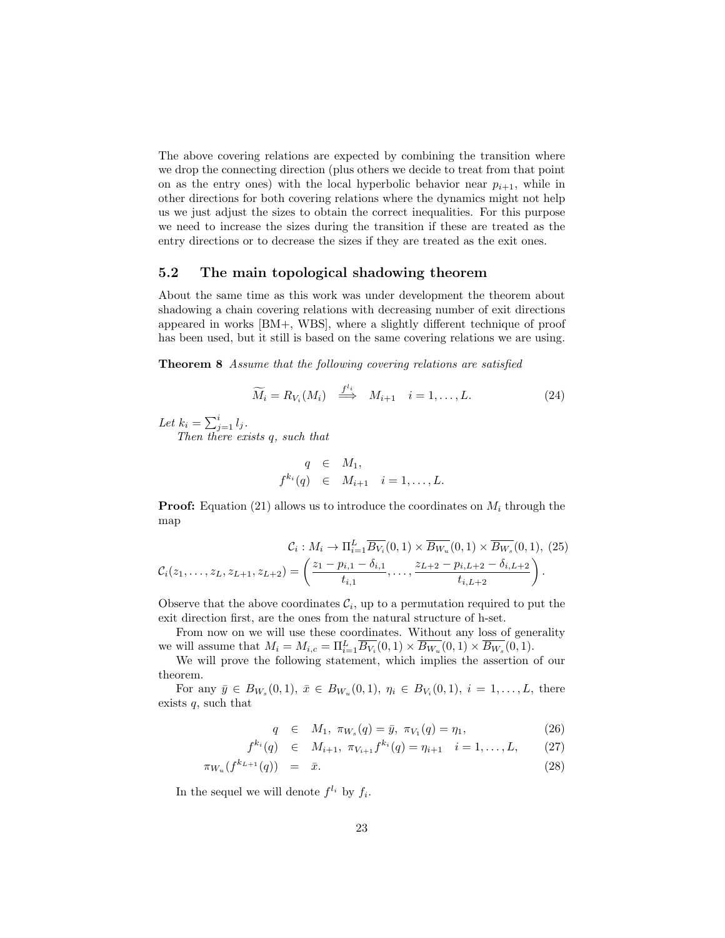The above covering relations are expected by combining the transition where we drop the connecting direction (plus others we decide to treat from that point on as the entry ones) with the local hyperbolic behavior near  $p_{i+1}$ , while in other directions for both covering relations where the dynamics might not help us we just adjust the sizes to obtain the correct inequalities. For this purpose we need to increase the sizes during the transition if these are treated as the entry directions or to decrease the sizes if they are treated as the exit ones.

## 5.2 The main topological shadowing theorem

About the same time as this work was under development the theorem about shadowing a chain covering relations with decreasing number of exit directions appeared in works [BM+, WBS], where a slightly different technique of proof has been used, but it still is based on the same covering relations we are using.

Theorem 8 Assume that the following covering relations are satisfied

$$
\widetilde{M}_i = R_{V_i}(M_i) \stackrel{f^{l_i}}{\Longrightarrow} M_{i+1} \quad i = 1, \dots, L. \tag{24}
$$

Let  $k_i = \sum_{j=1}^i l_j$ .

Then there exists q, such that

$$
q \in M_1,
$$
  

$$
f^{k_i}(q) \in M_{i+1} \quad i=1,\ldots,L.
$$

**Proof:** Equation (21) allows us to introduce the coordinates on  $M_i$  through the map

$$
\mathcal{C}_{i}: M_{i} \to \Pi_{i=1}^{L} \overline{B_{V_{i}}}(0,1) \times \overline{B_{W_{u}}}(0,1) \times \overline{B_{W_{s}}}(0,1), (25)
$$

$$
\mathcal{C}_{i}(z_{1},...,z_{L},z_{L+1},z_{L+2}) = \left(\frac{z_{1} - p_{i,1} - \delta_{i,1}}{t_{i,1}}, \dots, \frac{z_{L+2} - p_{i,L+2} - \delta_{i,L+2}}{t_{i,L+2}}\right).
$$

Observe that the above coordinates  $\mathcal{C}_i$ , up to a permutation required to put the exit direction first, are the ones from the natural structure of h-set.

From now on we will use these coordinates. Without any loss of generality we will assume that  $M_i = M_{i,c} = \prod_{i=1}^{L} \overline{B_{V_i}}(0,1) \times \overline{B_{W_u}}(0,1) \times \overline{B_{W_s}}(0,1)$ .

We will prove the following statement, which implies the assertion of our theorem.

For any  $\bar{y} \in B_{W_s}(0,1), \ \bar{x} \in B_{W_u}(0,1), \ \eta_i \in B_{V_i}(0,1), \ i = 1,\ldots,L$ , there exists  $q$ , such that

$$
q \in M_1, \ \pi_{W_s}(q) = \bar{y}, \ \pi_{V_1}(q) = \eta_1,\tag{26}
$$

$$
f^{k_i}(q) \in M_{i+1}, \pi_{V_{i+1}} f^{k_i}(q) = \eta_{i+1} \quad i = 1, \dots, L, \qquad (27)
$$

$$
\pi_{W_u}(f^{k_{L+1}}(q)) = \bar{x}.\tag{28}
$$

In the sequel we will denote  $f^{l_i}$  by  $f_i$ .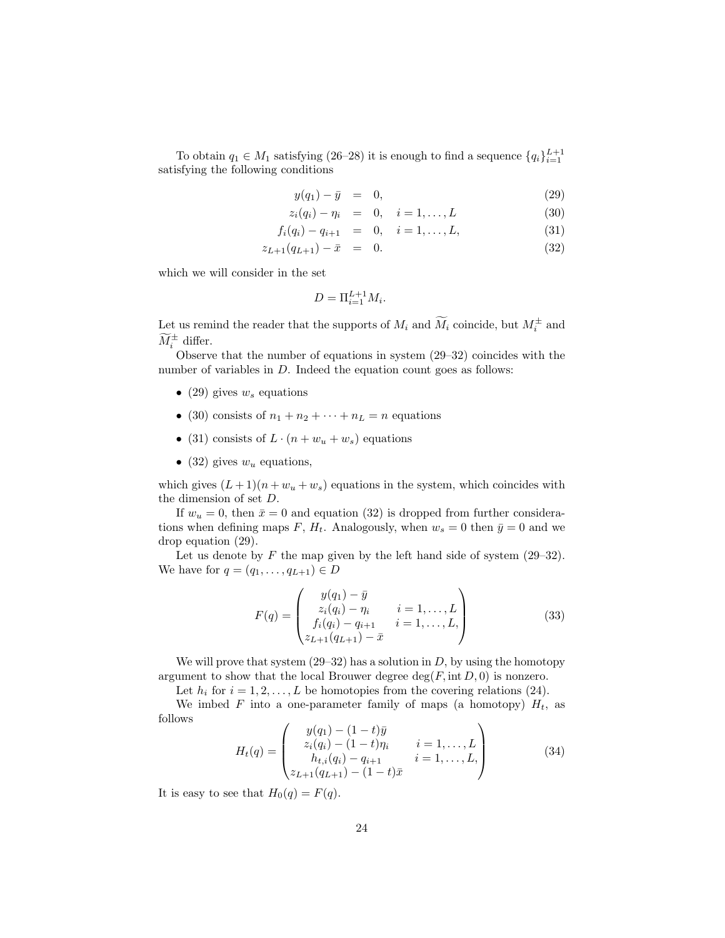To obtain  $q_1 \in M_1$  satisfying (26–28) it is enough to find a sequence  $\{q_i\}_{i=1}^{L+1}$ satisfying the following conditions

$$
y(q_1) - \bar{y} = 0, \t\t(29)
$$

$$
z_i(q_i) - \eta_i = 0, \quad i = 1, ..., L \tag{30}
$$

$$
f_i(q_i) - q_{i+1} = 0, \quad i = 1, ..., L,
$$
\n(31)

$$
z_{L+1}(q_{L+1}) - \bar{x} = 0. \tag{32}
$$

which we will consider in the set

$$
D = \Pi_{i=1}^{L+1} M_i.
$$

Let us remind the reader that the supports of  $M_i$  and  $\widetilde{M}_i$  coincide, but  $M_i^{\pm}$  and  $\widetilde{M}_i^{\pm}$  differ.

Observe that the number of equations in system (29–32) coincides with the number of variables in D. Indeed the equation count goes as follows:

- (29) gives  $w_s$  equations
- (30) consists of  $n_1 + n_2 + \cdots + n_L = n$  equations
- (31) consists of  $L \cdot (n + w_u + w_s)$  equations
- (32) gives  $w_u$  equations,

which gives  $(L+1)(n+w_u+w_s)$  equations in the system, which coincides with the dimension of set D.

If  $w_u = 0$ , then  $\bar{x} = 0$  and equation (32) is dropped from further considerations when defining maps F,  $H_t$ . Analogously, when  $w_s = 0$  then  $\bar{y} = 0$  and we drop equation (29).

Let us denote by F the map given by the left hand side of system  $(29-32)$ . We have for  $q = (q_1, ..., q_{L+1}) \in D$ 

$$
F(q) = \begin{pmatrix} y(q_1) - \bar{y} \\ z_i(q_i) - \eta_i & i = 1, ..., L \\ f_i(q_i) - q_{i+1} & i = 1, ..., L, \\ z_{L+1}(q_{L+1}) - \bar{x} \end{pmatrix}
$$
(33)

We will prove that system  $(29-32)$  has a solution in D, by using the homotopy argument to show that the local Brouwer degree  $\deg(F, \text{int } D, 0)$  is nonzero.

Let  $h_i$  for  $i = 1, 2, ..., L$  be homotopies from the covering relations (24).

We imbed F into a one-parameter family of maps (a homotopy)  $H_t$ , as follows

$$
H_t(q) = \begin{pmatrix} y(q_1) - (1-t)\bar{y} & i = 1, \dots, L \\ z_i(q_i) - (1-t)\eta_i & i = 1, \dots, L \\ h_{t,i}(q_i) - q_{i+1} & i = 1, \dots, L, \\ z_{L+1}(q_{L+1}) - (1-t)\bar{x} & \end{pmatrix} \tag{34}
$$

It is easy to see that  $H_0(q) = F(q)$ .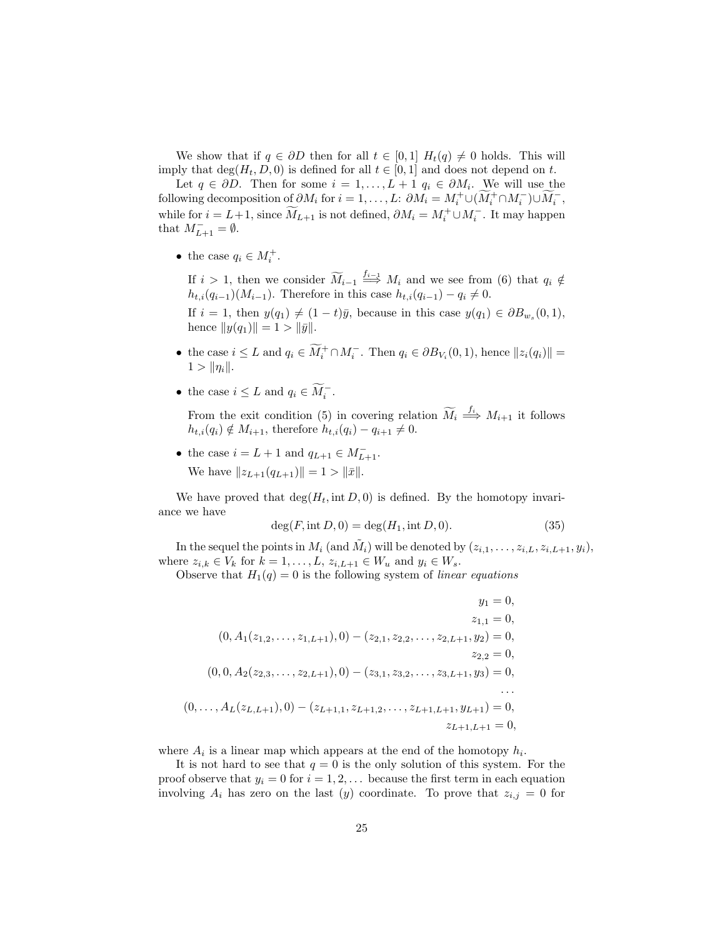We show that if  $q \in \partial D$  then for all  $t \in [0,1]$   $H_t(q) \neq 0$  holds. This will imply that  $\deg(H_t, D, 0)$  is defined for all  $t \in [0, 1]$  and does not depend on t.

Let  $q \in \partial D$ . Then for some  $i = 1, ..., L + 1$   $q_i \in \partial M_i$ . We will use the following decomposition of  $\partial M_i$  for  $i = 1, ..., L$ :  $\partial M_i = M_i^+ \cup (\widetilde{M}_i^+ \cap M_i^-) \cup \widetilde{M}_i^-$ , while for  $i = L+1$ , since  $\widetilde{M}_{L+1}$  is not defined,  $\partial M_i = M_i^+ \cup M_i^-$ . It may happen that  $M_{L+1}^- = \emptyset$ .

• the case  $q_i \in M_i^+$ .

If  $i > 1$ , then we consider  $\widetilde{M}_{i-1} \stackrel{f_{i-1}}{\Longrightarrow} M_i$  and we see from (6) that  $q_i \notin$  $h_{t,i}(q_{i-1})(M_{i-1})$ . Therefore in this case  $h_{t,i}(q_{i-1}) - q_i \neq 0$ .

If  $i = 1$ , then  $y(q_1) \neq (1 - t)\overline{y}$ , because in this case  $y(q_1) \in \partial B_{w_s}(0,1)$ , hence  $||y(q_1)|| = 1 > ||\bar{y}||.$ 

- the case  $i \leq L$  and  $q_i \in \widetilde{M}_i^+ \cap M_i^-$ . Then  $q_i \in \partial B_{V_i}(0,1)$ , hence  $||z_i(q_i)|| =$  $1 > ||\eta_i||.$
- the case  $i \leq L$  and  $q_i \in \widetilde{M}_i^-$ .

From the exit condition (5) in covering relation  $\widetilde{M}_i \stackrel{f_i}{\Longrightarrow} M_{i+1}$  it follows  $h_{t,i}(q_i) \notin M_{i+1}$ , therefore  $h_{t,i}(q_i) - q_{i+1} \neq 0$ .

• the case  $i = L + 1$  and  $q_{L+1} \in M_{L+1}^-$ . We have  $||z_{L+1}(q_{L+1})|| = 1 > ||\bar{x}||$ .

We have proved that  $\deg(H_t, \text{int } D, 0)$  is defined. By the homotopy invariance we have

$$
\deg(F, \text{int } D, 0) = \deg(H_1, \text{int } D, 0). \tag{35}
$$

In the sequel the points in  $M_i$  (and  $\tilde{M}_i$ ) will be denoted by  $(z_{i,1},\ldots,z_{i,L},z_{i,L+1},y_i)$ , where  $z_{i,k} \in V_k$  for  $k = 1, \ldots, L, z_{i,L+1} \in W_u$  and  $y_i \in W_s$ .

Observe that  $H_1(q) = 0$  is the following system of linear equations

$$
y_1 = 0,
$$
  
\n
$$
(0, A_1(z_{1,2},..., z_{1,L+1}), 0) - (z_{2,1}, z_{2,2},..., z_{2,L+1}, y_2) = 0,
$$
  
\n
$$
z_{2,2} = 0,
$$
  
\n
$$
(0, 0, A_2(z_{2,3},..., z_{2,L+1}), 0) - (z_{3,1}, z_{3,2},..., z_{3,L+1}, y_3) = 0,
$$
  
\n
$$
\dots
$$
  
\n
$$
(0, ..., A_L(z_{L,L+1}), 0) - (z_{L+1,1}, z_{L+1,2},..., z_{L+1,L+1}, y_{L+1}) = 0,
$$
  
\n
$$
z_{L+1,L+1} = 0,
$$

where  $A_i$  is a linear map which appears at the end of the homotopy  $h_i$ .

It is not hard to see that  $q = 0$  is the only solution of this system. For the proof observe that  $y_i = 0$  for  $i = 1, 2, \ldots$  because the first term in each equation involving  $A_i$  has zero on the last (y) coordinate. To prove that  $z_{i,j} = 0$  for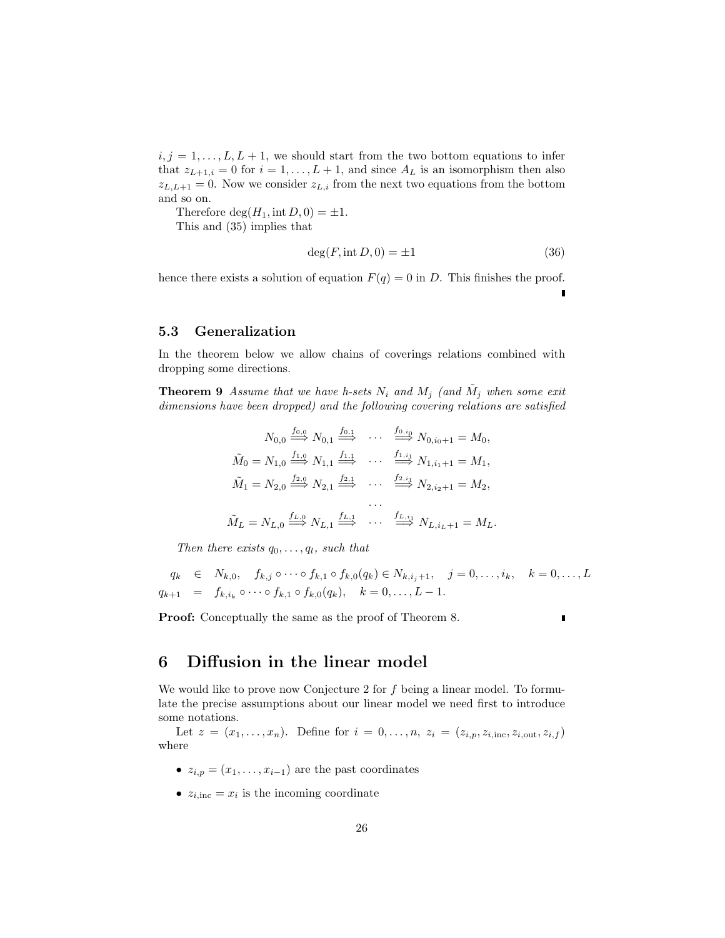$i, j = 1, \ldots, L, L + 1$ , we should start from the two bottom equations to infer that  $z_{L+1,i} = 0$  for  $i = 1, ..., L+1$ , and since  $A_L$  is an isomorphism then also  $z_{L,L+1} = 0$ . Now we consider  $z_{L,i}$  from the next two equations from the bottom and so on.

Therefore  $\deg(H_1, \text{int } D, 0) = \pm 1.$ 

This and (35) implies that

$$
\deg(F, \text{int } D, 0) = \pm 1 \tag{36}
$$

hence there exists a solution of equation  $F(q) = 0$  in D. This finishes the proof.

## 5.3 Generalization

In the theorem below we allow chains of coverings relations combined with dropping some directions.

**Theorem 9** Assume that we have h-sets  $N_i$  and  $M_j$  (and  $\tilde{M}_j$  when some exit dimensions have been dropped) and the following covering relations are satisfied

$$
N_{0,0} \stackrel{f_{0,0}}{\Longrightarrow} N_{0,1} \stackrel{f_{0,1}}{\Longrightarrow} \cdots \stackrel{f_{0,i_0}}{\Longrightarrow} N_{0,i_0+1} = M_0,
$$
  

$$
\tilde{M}_0 = N_{1,0} \stackrel{f_{1,0}}{\Longrightarrow} N_{1,1} \stackrel{f_{1,1}}{\Longrightarrow} \cdots \stackrel{f_{1,i_1}}{\Longrightarrow} N_{1,i_1+1} = M_1,
$$
  

$$
\tilde{M}_1 = N_{2,0} \stackrel{f_{2,0}}{\Longrightarrow} N_{2,1} \stackrel{f_{2,1}}{\Longrightarrow} \cdots \stackrel{f_{2,i_1}}{\Longrightarrow} N_{2,i_2+1} = M_2,
$$
  
...  

$$
\tilde{M}_L = N_{L,0} \stackrel{f_{L,0}}{\Longrightarrow} N_{L,1} \stackrel{f_{L,1}}{\Longrightarrow} \cdots \stackrel{f_{L,i_1}}{\Longrightarrow} N_{L,i_L+1} = M_L.
$$

Then there exists  $q_0, \ldots, q_l$ , such that

$$
q_k \in N_{k,0}, \quad f_{k,j} \circ \cdots \circ f_{k,1} \circ f_{k,0}(q_k) \in N_{k,i,j+1}, \quad j = 0, \ldots, i_k, \quad k = 0, \ldots, L
$$
  

$$
q_{k+1} = f_{k,i_k} \circ \cdots \circ f_{k,1} \circ f_{k,0}(q_k), \quad k = 0, \ldots, L-1.
$$

Proof: Conceptually the same as the proof of Theorem 8.

## 6 Diffusion in the linear model

We would like to prove now Conjecture 2 for  $f$  being a linear model. To formulate the precise assumptions about our linear model we need first to introduce some notations.

Let  $z = (x_1, ..., x_n)$ . Define for  $i = 0, ..., n$ ,  $z_i = (z_{i,p}, z_{i,inc}, z_{i,out}, z_{i,f})$ where

- $z_{i,p} = (x_1, \ldots, x_{i-1})$  are the past coordinates
- $z_{i,inc} = x_i$  is the incoming coordinate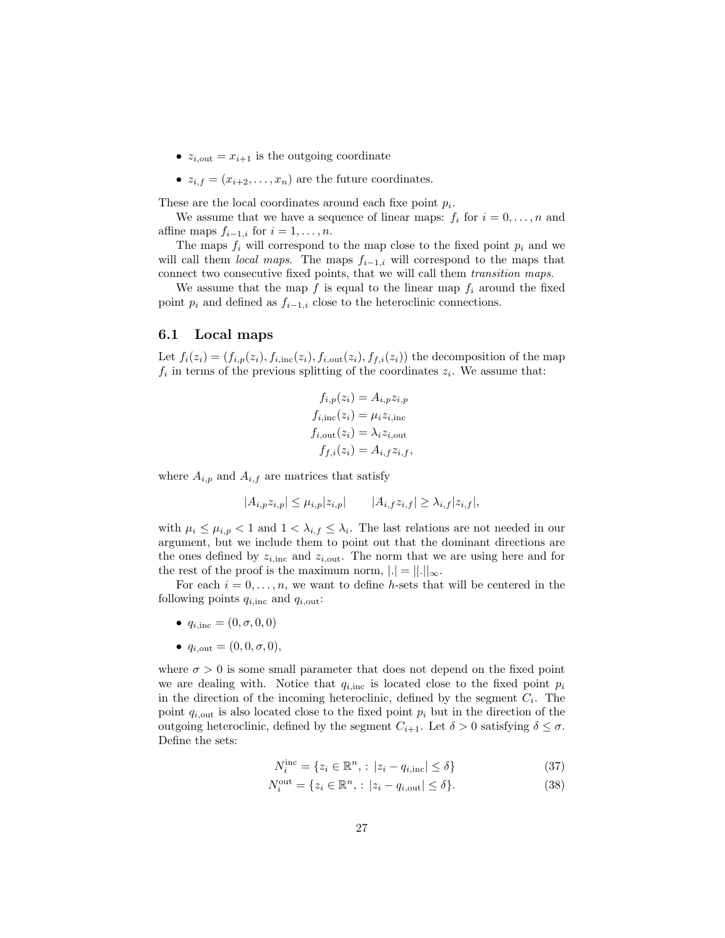- $z_{i,out} = x_{i+1}$  is the outgoing coordinate
- $z_{i,f} = (x_{i+2}, \ldots, x_n)$  are the future coordinates.

These are the local coordinates around each fixe point  $p_i$ .

We assume that we have a sequence of linear maps:  $f_i$  for  $i = 0, \ldots, n$  and affine maps  $f_{i-1,i}$  for  $i = 1, \ldots, n$ .

The maps  $f_i$  will correspond to the map close to the fixed point  $p_i$  and we will call them *local maps*. The maps  $f_{i-1,i}$  will correspond to the maps that connect two consecutive fixed points, that we will call them transition maps.

We assume that the map  $f$  is equal to the linear map  $f_i$  around the fixed point  $p_i$  and defined as  $f_{i-1,i}$  close to the heteroclinic connections.

#### 6.1 Local maps

Let  $f_i(z_i) = (f_{i,p}(z_i), f_{i,\text{inc}}(z_i), f_{i,\text{out}}(z_i), f_{f,i}(z_i))$  the decomposition of the map  $f_i$  in terms of the previous splitting of the coordinates  $z_i$ . We assume that:

$$
f_{i,p}(z_i) = A_{i,p} z_{i,p}
$$

$$
f_{i,\text{inc}}(z_i) = \mu_i z_{i,\text{inc}}
$$

$$
f_{i,\text{out}}(z_i) = \lambda_i z_{i,\text{out}}
$$

$$
f_{f,i}(z_i) = A_{i,f} z_{i,f},
$$

where  $A_{i,p}$  and  $A_{i,f}$  are matrices that satisfy

$$
|A_{i,p}z_{i,p}| \leq \mu_{i,p}|z_{i,p}| \qquad |A_{i,f}z_{i,f}| \geq \lambda_{i,f}|z_{i,f}|,
$$

with  $\mu_i \leq \mu_{i,p} < 1$  and  $1 < \lambda_{i,f} \leq \lambda_i$ . The last relations are not needed in our argument, but we include them to point out that the dominant directions are the ones defined by  $z_{i,inc}$  and  $z_{i,out}$ . The norm that we are using here and for the rest of the proof is the maximum norm,  $|.| = ||.||_{\infty}$ .

For each  $i = 0, \ldots, n$ , we want to define h-sets that will be centered in the following points  $q_{i, \text{inc}}$  and  $q_{i, \text{out}}$ :

- $q_{i,inc} = (0, \sigma, 0, 0)$
- $q_{i,\text{out}} = (0,0,\sigma,0),$

where  $\sigma > 0$  is some small parameter that does not depend on the fixed point we are dealing with. Notice that  $q_{i,inc}$  is located close to the fixed point  $p_i$ in the direction of the incoming heteroclinic, defined by the segment  $C_i$ . The point  $q_{i,\text{out}}$  is also located close to the fixed point  $p_i$  but in the direction of the outgoing heteroclinic, defined by the segment  $C_{i+1}$ . Let  $\delta > 0$  satisfying  $\delta \leq \sigma$ . Define the sets:

$$
N_i^{\text{inc}} = \{ z_i \in \mathbb{R}^n, : |z_i - q_{i,\text{inc}}| \le \delta \}
$$
\n
$$
(37)
$$

$$
N_i^{\text{out}} = \{ z_i \in \mathbb{R}^n, : |z_i - q_{i,\text{out}}| \le \delta \}. \tag{38}
$$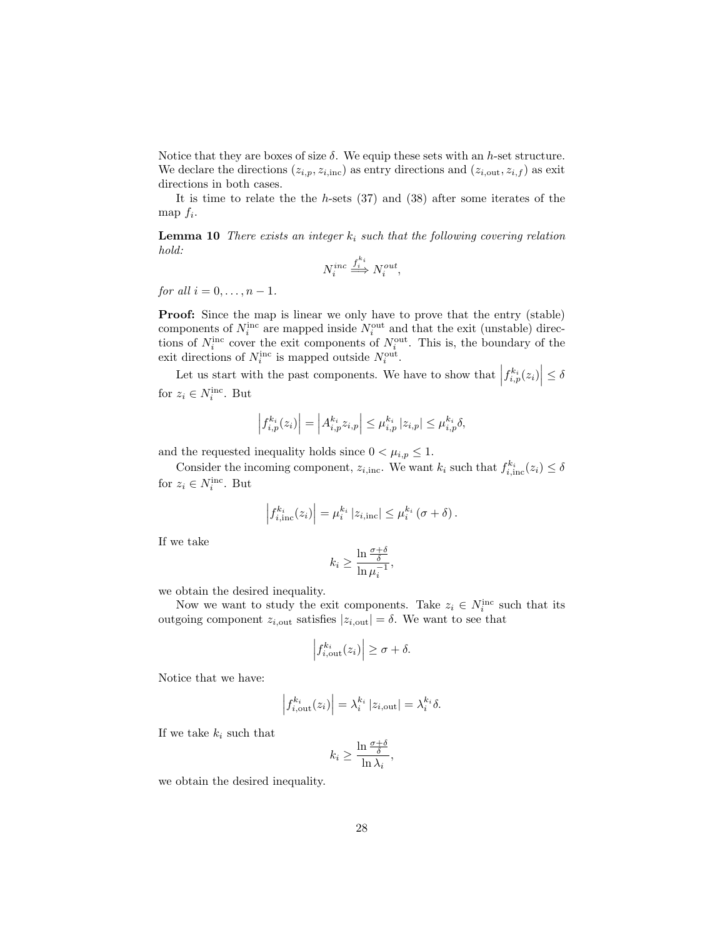Notice that they are boxes of size  $\delta$ . We equip these sets with an h-set structure. We declare the directions  $(z_{i,p}, z_{i,inc})$  as entry directions and  $(z_{i,out}, z_{i,f})$  as exit directions in both cases.

It is time to relate the the  $h$ -sets  $(37)$  and  $(38)$  after some iterates of the map  $f_i$ .

**Lemma 10** There exists an integer  $k_i$  such that the following covering relation hold:

$$
N_i^{inc} \stackrel{f_i^{k_i}}{\Longrightarrow} N_i^{out},
$$

for all  $i = 0, \ldots, n - 1$ .

Proof: Since the map is linear we only have to prove that the entry (stable) components of  $N_i^{\text{inc}}$  are mapped inside  $N_i^{\text{out}}$  and that the exit (unstable) directions of  $N_i^{\text{inc}}$  cover the exit components of  $N_i^{\text{out}}$ . This is, the boundary of the exit directions of  $N_i^{\text{inc}}$  is mapped outside  $N_i^{\text{out}}$ .

Let us start with the past components. We have to show that  $\left|f_{i,p}^{k_i}(z_i)\right| \leq \delta$ for  $z_i \in N_i^{\text{inc}}$ . But

$$
\left| f_{i,p}^{k_i}(z_i) \right| = \left| A_{i,p}^{k_i} z_{i,p} \right| \leq \mu_{i,p}^{k_i} |z_{i,p}| \leq \mu_{i,p}^{k_i} \delta,
$$

and the requested inequality holds since  $0 < \mu_{i,p} \leq 1$ .

Consider the incoming component,  $z_{i, inc}$ . We want  $k_i$  such that  $f_{i, inc}^{k_i}(z_i) \le \delta$ for  $z_i \in N_i^{\text{inc}}$ . But

$$
\left|f_{i,\text{inc}}^{k_i}(z_i)\right| = \mu_i^{k_i} \left|z_{i,\text{inc}}\right| \leq \mu_i^{k_i} \left(\sigma + \delta\right).
$$

If we take

$$
k_i \ge \frac{\ln \frac{\sigma + \delta}{\delta}}{\ln \mu_i^{-1}},
$$

we obtain the desired inequality.

Now we want to study the exit components. Take  $z_i \in N_i^{\text{inc}}$  such that its outgoing component  $z_{i,\text{out}}$  satisfies  $|z_{i,\text{out}}| = \delta$ . We want to see that

$$
\left| f_{i,\text{out}}^{k_i}(z_i) \right| \ge \sigma + \delta.
$$

Notice that we have:

$$
\left| f_{i,\text{out}}^{k_i}(z_i) \right| = \lambda_i^{k_i} \left| z_{i,\text{out}} \right| = \lambda_i^{k_i} \delta.
$$

If we take  $k_i$  such that

$$
k_i \ge \frac{\ln \frac{\sigma + \delta}{\delta}}{\ln \lambda_i},
$$

we obtain the desired inequality.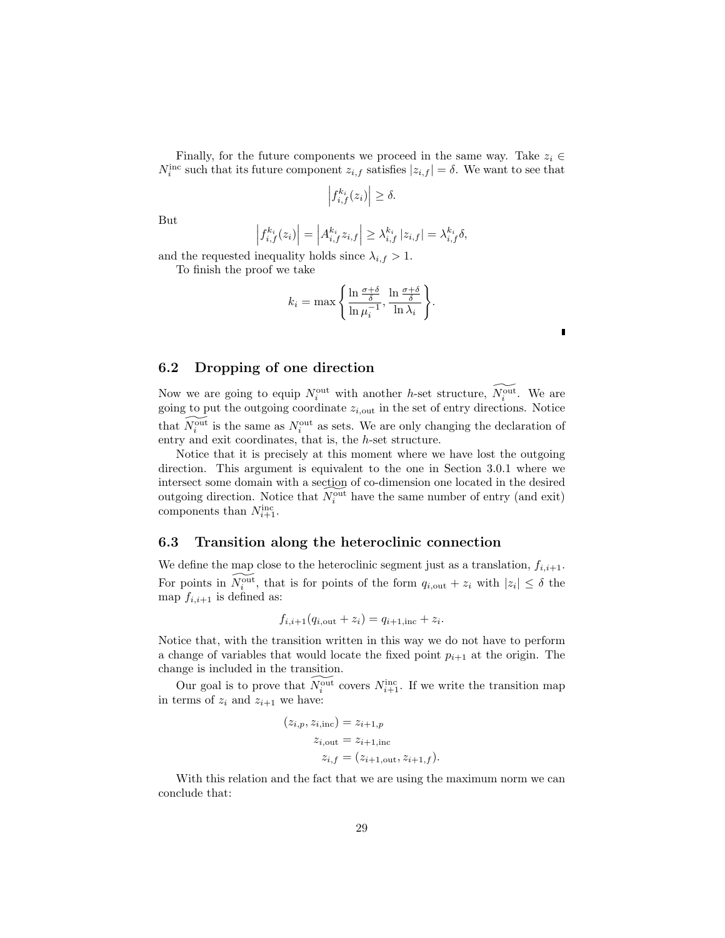Finally, for the future components we proceed in the same way. Take  $z_i \in$  $N_i^{\text{inc}}$  such that its future component  $z_{i,f}$  satisfies  $|z_{i,f}| = \delta$ . We want to see that

$$
\left|f_{i,f}^{k_i}(z_i)\right| \ge \delta.
$$

But

$$
\left|f_{i,f}^{k_i}(z_i)\right| = \left|A_{i,f}^{k_i}z_{i,f}\right| \geq \lambda_{i,f}^{k_i} |z_{i,f}| = \lambda_{i,f}^{k_i} \delta,
$$

and the requested inequality holds since  $\lambda_{i,f} > 1$ .

To finish the proof we take

$$
k_i = \max\left\{\frac{\ln \frac{\sigma + \delta}{\delta}}{\ln \mu_i^{-1}}, \frac{\ln \frac{\sigma + \delta}{\delta}}{\ln \lambda_i}\right\}.
$$

### 6.2 Dropping of one direction

Now we are going to equip  $N_i^{\text{out}}$  with another h-set structure,  $\widetilde{N_i^{\text{out}}}$ . We are going to put the outgoing coordinate  $z_{i, \text{out}}$  in the set of entry directions. Notice that  $\widetilde{N_i^{\text{out}}}$  is the same as  $N_i^{\text{out}}$  as sets. We are only changing the declaration of entry and exit coordinates, that is, the h-set structure.

Notice that it is precisely at this moment where we have lost the outgoing direction. This argument is equivalent to the one in Section 3.0.1 where we intersect some domain with a section of co-dimension one located in the desired intersect some domain what a second of  $S^{\text{out}}$  have the same number of entry (and exit) components than  $N_{i+1}^{\text{inc}}$ .

#### 6.3 Transition along the heteroclinic connection

We define the map close to the heteroclinic segment just as a translation,  $f_{i,i+1}$ . For points in  $\widetilde{N_i^{\text{out}}}$ , that is for points of the form  $q_{i,\text{out}} + z_i$  with  $|z_i| \leq \delta$  the map  $f_{i,i+1}$  is defined as:

$$
f_{i,i+1}(q_{i,out}+z_i)=q_{i+1,inc}+z_i.
$$

Notice that, with the transition written in this way we do not have to perform a change of variables that would locate the fixed point  $p_{i+1}$  at the origin. The change is included in the transition.

Our goal is to prove that  $\widetilde{N_i^{\text{out}}}$  covers  $N_{i+1}^{\text{inc}}$ . If we write the transition map in terms of  $z_i$  and  $z_{i+1}$  we have:

$$
(z_{i,p}, z_{i,\text{inc}}) = z_{i+1,p}
$$
  
\n
$$
z_{i,\text{out}} = z_{i+1,\text{inc}}
$$
  
\n
$$
z_{i,f} = (z_{i+1,\text{out}}, z_{i+1,f}).
$$

With this relation and the fact that we are using the maximum norm we can conclude that: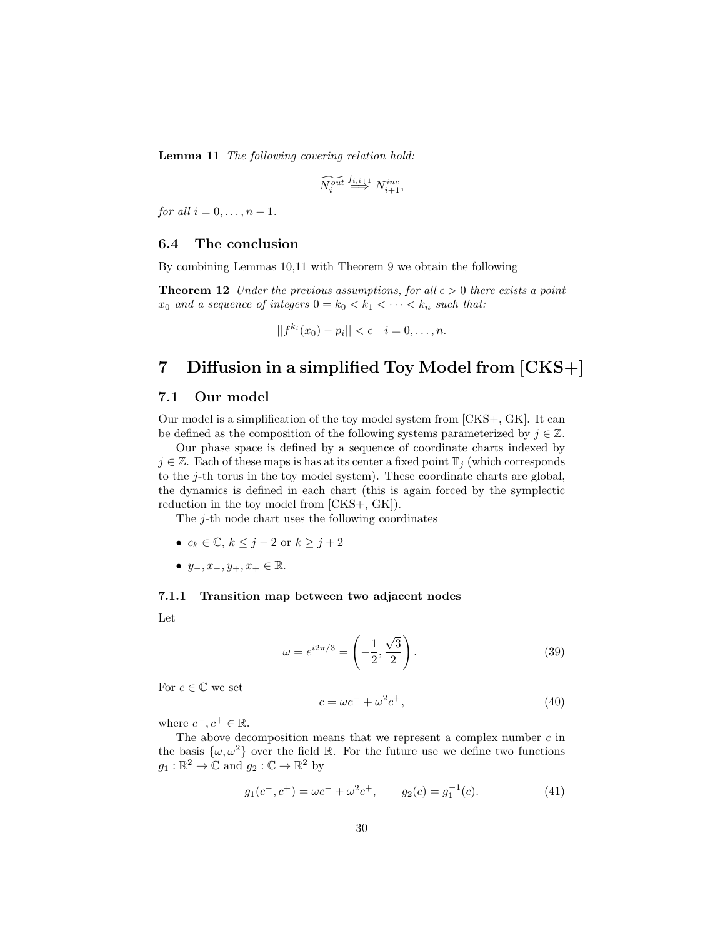Lemma 11 The following covering relation hold:

$$
\widetilde{N^{out}_i} \stackrel{f_{i,i+1}}{\Longrightarrow} N^{inc}_{i+1},
$$

for all  $i = 0, \ldots, n-1$ .

#### 6.4 The conclusion

By combining Lemmas 10,11 with Theorem 9 we obtain the following

**Theorem 12** Under the previous assumptions, for all  $\epsilon > 0$  there exists a point  $x_0$  and a sequence of integers  $0 = k_0 < k_1 < \cdots < k_n$  such that:

$$
||f^{k_i}(x_0)-p_i|| < \epsilon \quad i=0,\ldots,n.
$$

# 7 Diffusion in a simplified Toy Model from [CKS+]

#### 7.1 Our model

Our model is a simplification of the toy model system from [CKS+, GK]. It can be defined as the composition of the following systems parameterized by  $j \in \mathbb{Z}$ .

Our phase space is defined by a sequence of coordinate charts indexed by  $j \in \mathbb{Z}$ . Each of these maps is has at its center a fixed point  $\mathbb{T}_i$  (which corresponds to the j-th torus in the toy model system). These coordinate charts are global, the dynamics is defined in each chart (this is again forced by the symplectic reduction in the toy model from [CKS+, GK]).

The j-th node chart uses the following coordinates

- $c_k \in \mathbb{C}, k \leq j-2$  or  $k \geq j+2$
- $y_-, x_-, y_+, x_+ \in \mathbb{R}$ .

#### 7.1.1 Transition map between two adjacent nodes

Let

$$
\omega = e^{i2\pi/3} = \left(-\frac{1}{2}, \frac{\sqrt{3}}{2}\right). \tag{39}
$$

For  $c \in \mathbb{C}$  we set

$$
c = \omega c^- + \omega^2 c^+, \tag{40}
$$

where  $c^-, c^+ \in \mathbb{R}$ .

The above decomposition means that we represent a complex number  $c$  in the basis  $\{\omega, \omega^2\}$  over the field R. For the future use we define two functions  $g_1 : \mathbb{R}^2 \to \mathbb{C}$  and  $g_2 : \mathbb{C} \to \mathbb{R}^2$  by

$$
g_1(c^-, c^+) = \omega c^- + \omega^2 c^+, \qquad g_2(c) = g_1^{-1}(c).
$$
 (41)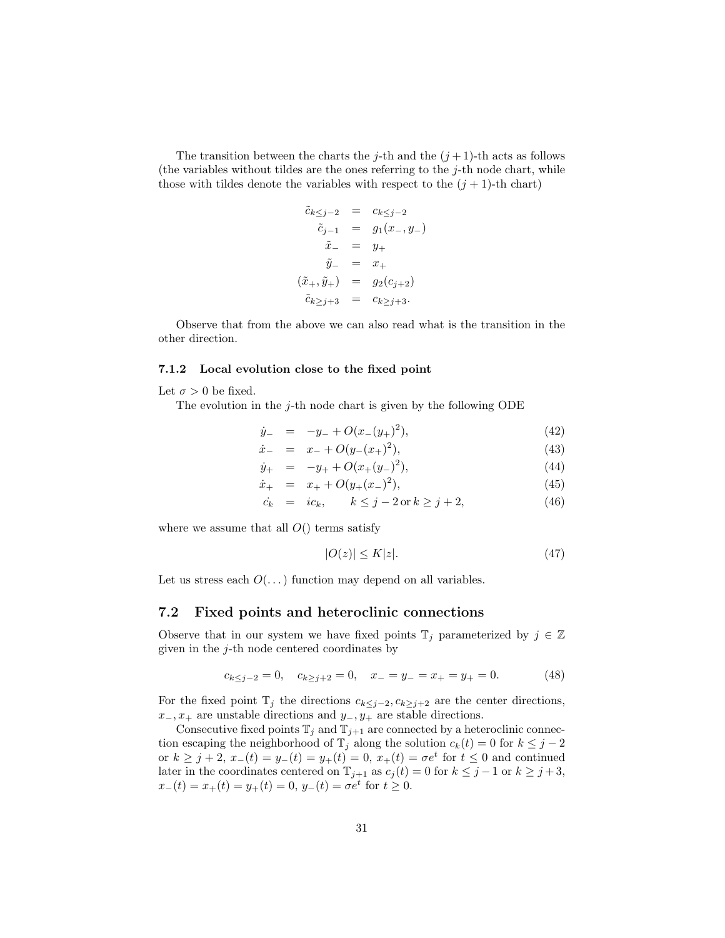The transition between the charts the j-th and the  $(j+1)$ -th acts as follows (the variables without tildes are the ones referring to the  $j$ -th node chart, while those with tildes denote the variables with respect to the  $(j + 1)$ -th chart)

$$
\begin{array}{rcl}\n\tilde{c}_{k \leq j-2} & = & c_{k \leq j-2} \\
\tilde{c}_{j-1} & = & g_1(x_-, y_-) \\
\tilde{x}_- & = & y_+ \\
\tilde{y}_- & = & x_+ \\
(\tilde{x}_+, \tilde{y}_+) & = & g_2(c_{j+2}) \\
\tilde{c}_{k \geq j+3} & = & c_{k \geq j+3}.\n\end{array}
$$

Observe that from the above we can also read what is the transition in the other direction.

#### 7.1.2 Local evolution close to the fixed point

Let  $\sigma > 0$  be fixed.

The evolution in the  $j$ -th node chart is given by the following ODE

$$
\dot{y}_{-} = -y_{-} + O(x_{-}(y_{+})^{2}), \qquad (42)
$$

$$
\dot{x}_{-} = x_{-} + O(y_{-}(x_{+})^{2}), \qquad (43)
$$

$$
\dot{y}_{+} = -y_{+} + O(x_{+}(y_{-})^{2}), \qquad (44)
$$

$$
\dot{x}_{+} = x_{+} + O(y_{+}(x_{-})^{2}), \qquad (45)
$$

$$
\dot{c}_k = i c_k, \qquad k \le j - 2 \text{ or } k \ge j + 2,\tag{46}
$$

where we assume that all  $O()$  terms satisfy

$$
|O(z)| \le K|z|. \tag{47}
$$

Let us stress each  $O(\dots)$  function may depend on all variables.

#### 7.2 Fixed points and heteroclinic connections

Observe that in our system we have fixed points  $\mathbb{T}_j$  parameterized by  $j \in \mathbb{Z}$ given in the j-th node centered coordinates by

$$
c_{k\leq j-2} = 0, \quad c_{k\geq j+2} = 0, \quad x_{-} = y_{-} = x_{+} = y_{+} = 0. \tag{48}
$$

For the fixed point  $\mathbb{T}_j$  the directions  $c_{k\leq j-2}$ ,  $c_{k\geq j+2}$  are the center directions,  $x_-, x_+$  are unstable directions and  $y_-, y_+$  are stable directions.

Consecutive fixed points  $\mathbb{T}_j$  and  $\mathbb{T}_{j+1}$  are connected by a heteroclinic connection escaping the neighborhood of  $\mathbb{T}_j$  along the solution  $c_k(t) = 0$  for  $k \leq j - 2$ or  $k \geq j + 2$ ,  $x_{-}(t) = y_{-}(t) = y_{+}(t) = 0$ ,  $x_{+}(t) = \sigma e^{t}$  for  $t \leq 0$  and continued later in the coordinates centered on  $\mathbb{T}_{j+1}$  as  $c_j(t) = 0$  for  $k \leq j-1$  or  $k \geq j+3$ ,  $x_-(t) = x_+(t) = y_+(t) = 0, y_-(t) = \sigma e^t$  for  $t \ge 0$ .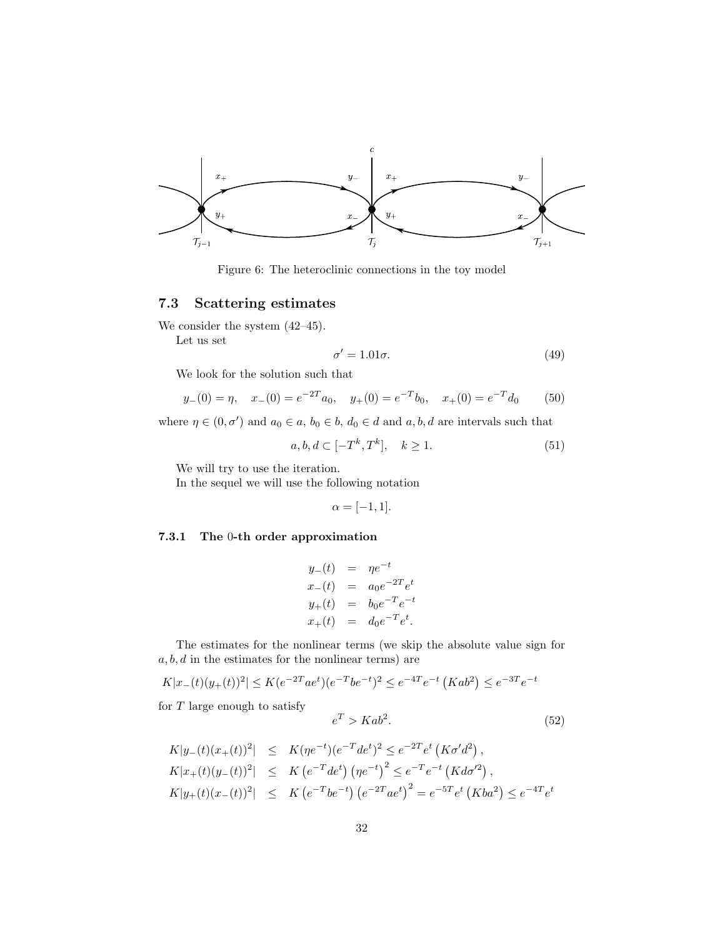

Figure 6: The heteroclinic connections in the toy model

## 7.3 Scattering estimates

We consider the system  $(42-45)$ .

Let us set

$$
\sigma' = 1.01\sigma. \tag{49}
$$

We look for the solution such that

$$
y_{-}(0) = \eta
$$
,  $x_{-}(0) = e^{-2T}a_0$ ,  $y_{+}(0) = e^{-T}b_0$ ,  $x_{+}(0) = e^{-T}d_0$  (50)

where  $\eta \in (0, \sigma')$  and  $a_0 \in a$ ,  $b_0 \in b$ ,  $d_0 \in d$  and  $a, b, d$  are intervals such that

$$
a, b, d \subset [-T^k, T^k], \quad k \ge 1. \tag{51}
$$

We will try to use the iteration.

In the sequel we will use the following notation

$$
\alpha = [-1, 1].
$$

#### 7.3.1 The 0-th order approximation

$$
y_{-}(t) = \eta e^{-t}
$$
  
\n
$$
x_{-}(t) = a_0 e^{-2T} e^{t}
$$
  
\n
$$
y_{+}(t) = b_0 e^{-T} e^{-t}
$$
  
\n
$$
x_{+}(t) = d_0 e^{-T} e^{t}.
$$

The estimates for the nonlinear terms (we skip the absolute value sign for  $a, b, d$  in the estimates for the nonlinear terms) are

$$
K|x_{-}(t)(y_{+}(t))^{2}| \leq K(e^{-2T}ae^{t})(e^{-T}be^{-t})^{2} \leq e^{-4T}e^{-t}(Kab^{2}) \leq e^{-3T}e^{-t}
$$

for  $T$  large enough to satisfy

$$
e^T > Kab^2.
$$
 (52)

$$
K|y_{-}(t)(x_{+}(t))^{2}| \leq K(\eta e^{-t})(e^{-T}de^{t})^{2} \leq e^{-2T}e^{t}(K\sigma'd^{2}),
$$
  
\n
$$
K|x_{+}(t)(y_{-}(t))^{2}| \leq K(e^{-T}de^{t})(\eta e^{-t})^{2} \leq e^{-T}e^{-t}(Kd\sigma'^{2}),
$$
  
\n
$$
K|y_{+}(t)(x_{-}(t))^{2}| \leq K(e^{-T}be^{-t})(e^{-2T}ae^{t})^{2} = e^{-5T}e^{t}(Kba^{2}) \leq e^{-4T}e^{t}
$$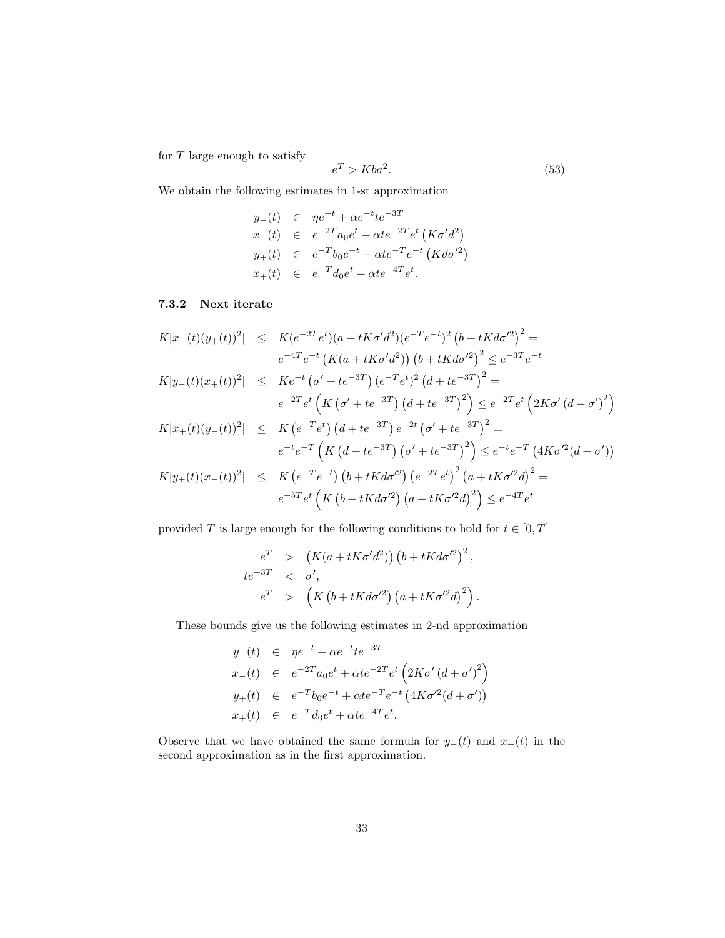for  $T$  large enough to satisfy

$$
e^T > Kba^2. \tag{53}
$$

We obtain the following estimates in 1-st approximation

$$
y_{-}(t) \in \eta e^{-t} + \alpha e^{-t} t e^{-3T}
$$
  
\n
$$
x_{-}(t) \in e^{-2T} a_0 e^{t} + \alpha t e^{-2T} e^{t} (K \sigma' d^2)
$$
  
\n
$$
y_{+}(t) \in e^{-T} b_0 e^{-t} + \alpha t e^{-T} e^{-t} (K d \sigma'^2)
$$
  
\n
$$
x_{+}(t) \in e^{-T} d_0 e^{t} + \alpha t e^{-4T} e^{t}.
$$

#### 7.3.2 Next iterate

$$
K|x_{-}(t)(y_{+}(t))^{2}| \leq K(e^{-2T}e^{t})(a + tK\sigma'd^{2})(e^{-T}e^{-t})^{2}(b + tKd\sigma'^{2})^{2} =
$$
  
\n
$$
e^{-4T}e^{-t}(K(a + tK\sigma'd^{2}))(b + tKd\sigma'^{2})^{2} \leq e^{-3T}e^{-t}
$$
  
\n
$$
K|y_{-}(t)(x_{+}(t))^{2}| \leq K e^{-t}(\sigma' + t e^{-3T})(e^{-T}e^{t})^{2}(d + t e^{-3T})^{2} =
$$
  
\n
$$
e^{-2T}e^{t}(K(\sigma' + t e^{-3T})(d + t e^{-3T})^{2}) \leq e^{-2T}e^{t}(2K\sigma'(d + \sigma')^{2})
$$

$$
K|x_{+}(t)(y_{-}(t))^{2}| \leq K\left(e^{-T}e^{t}\right)\left(d+te^{-3T}\right)e^{-2t}\left(\sigma'+te^{-3T}\right)^{2} =
$$
  
\n
$$
e^{-t}e^{-T}\left(K\left(d+te^{-3T}\right)\left(\sigma'+te^{-3T}\right)^{2}\right) \leq e^{-t}e^{-T}\left(4K\sigma'^{2}(d+\sigma')\right)
$$
  
\n
$$
K|y_{+}(t)(x_{-}(t))^{2}| \leq K\left(e^{-T}e^{-t}\right)\left(b+tKd\sigma'^{2}\right)\left(e^{-2T}e^{t}\right)^{2}\left(a+tK\sigma'^{2}d\right)^{2} =
$$
  
\n
$$
e^{-5T}e^{t}\left(K\left(b+tKd\sigma'^{2}\right)\left(a+tK\sigma'^{2}d\right)^{2}\right) \leq e^{-4T}e^{t}
$$

provided  $T$  is large enough for the following conditions to hold for  $t\in[0,T]$ 

$$
e^T > (K(a + tK\sigma'd^2)) (b + tKd\sigma'^2)^2,
$$
  
\n
$$
te^{-3T} < \sigma',
$$
  
\n
$$
e^T > (K (b + tKd\sigma'^2) (a + tK\sigma'^2d)^2).
$$

These bounds give us the following estimates in 2-nd approximation

$$
y_{-}(t) \in \eta e^{-t} + \alpha e^{-t} t e^{-3T}
$$
  
\n
$$
x_{-}(t) \in e^{-2T} a_0 e^{t} + \alpha t e^{-2T} e^{t} \left( 2K\sigma' (d + \sigma')^{2} \right)
$$
  
\n
$$
y_{+}(t) \in e^{-T} b_0 e^{-t} + \alpha t e^{-T} e^{-t} \left( 4K\sigma'^{2} (d + \sigma') \right)
$$
  
\n
$$
x_{+}(t) \in e^{-T} d_0 e^{t} + \alpha t e^{-4T} e^{t}.
$$

Observe that we have obtained the same formula for  $y_-(t)$  and  $x_+(t)$  in the second approximation as in the first approximation.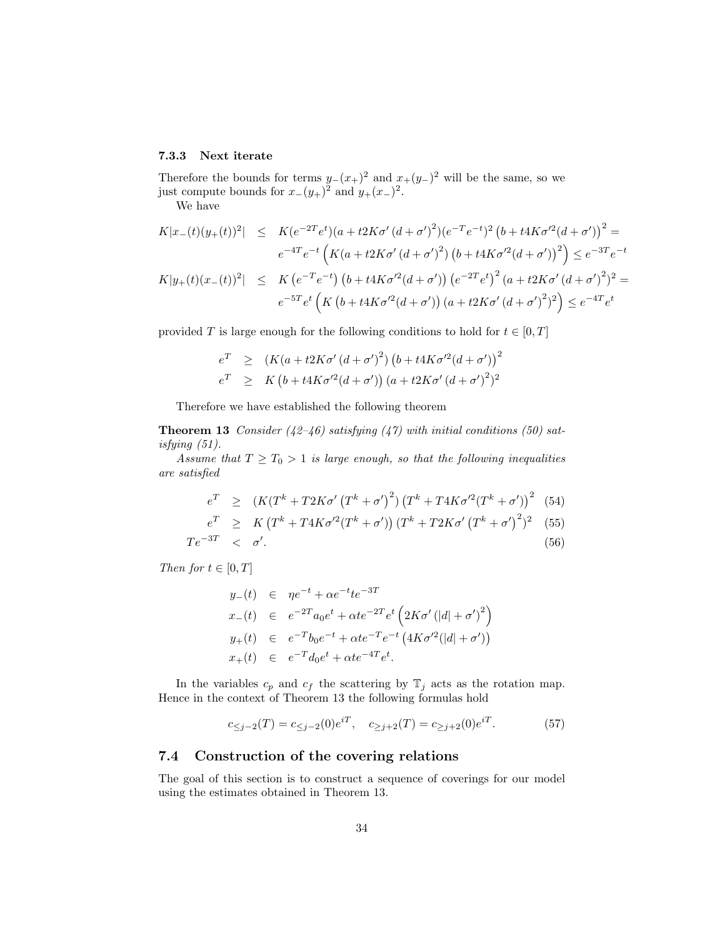## 7.3.3 Next iterate

Therefore the bounds for terms  $y_-(x_+)^2$  and  $x_+(y_-)^2$  will be the same, so we just compute bounds for  $x_-(y_+)^2$  and  $y_+(x_-)^2$ .

We have

$$
K|x_{-}(t)(y_{+}(t))^{2}| \leq K(e^{-2T}e^{t})(a + t2K\sigma'(d + \sigma')^{2})(e^{-T}e^{-t})^{2}(b + t4K\sigma'^{2}(d + \sigma'))^{2} =
$$
  
\n
$$
e^{-4T}e^{-t}(K(a + t2K\sigma'(d + \sigma')^{2})(b + t4K\sigma'^{2}(d + \sigma'))^{2}) \leq e^{-3T}e^{-t}
$$
  
\n
$$
K|y_{+}(t)(x_{-}(t))^{2}| \leq K(e^{-T}e^{-t})(b + t4K\sigma'^{2}(d + \sigma'))(e^{-2T}e^{t})^{2}(a + t2K\sigma'(d + \sigma')^{2})^{2} =
$$
  
\n
$$
e^{-5T}e^{t}(K(b + t4K\sigma'^{2}(d + \sigma'))(a + t2K\sigma'(d + \sigma')^{2})^{2}) \leq e^{-4T}e^{t}
$$

provided T is large enough for the following conditions to hold for  $t \in [0, T]$ 

$$
e^T \ge (K(a + t2K\sigma'(d + \sigma')^2) (b + t4K\sigma'^2(d + \sigma'))^2
$$
  
\n
$$
e^T \ge K(b + t4K\sigma'^2(d + \sigma')) (a + t2K\sigma'(d + \sigma')^2)^2
$$

Therefore we have established the following theorem

**Theorem 13** Consider (42-46) satisfying (47) with initial conditions (50) satisfying (51).

Assume that  $T \geq T_0 > 1$  is large enough, so that the following inequalities are satisfied

$$
e^{T} \ge (K(T^{k} + T2K\sigma' (T^{k} + \sigma'))^{2} (T^{k} + T4K\sigma'^{2} (T^{k} + \sigma'))^{2} (54)
$$

$$
e^T \geq K \left( T^k + T4K\sigma'^2 (T^k + \sigma') \right) (T^k + T2K\sigma' (T^k + \sigma')^2)^2 \tag{55}
$$

$$
Te^{-3T} \quad < \quad \sigma'.\tag{56}
$$

Then for  $t \in [0, T]$ 

$$
y_{-}(t) \in \eta e^{-t} + \alpha e^{-t} t e^{-3T}
$$
  
\n
$$
x_{-}(t) \in e^{-2T} a_0 e^{t} + \alpha t e^{-2T} e^{t} \left( 2K\sigma' (|d| + \sigma')^{2} \right)
$$
  
\n
$$
y_{+}(t) \in e^{-T} b_0 e^{-t} + \alpha t e^{-T} e^{-t} \left( 4K\sigma'^{2} (|d| + \sigma') \right)
$$
  
\n
$$
x_{+}(t) \in e^{-T} d_0 e^{t} + \alpha t e^{-4T} e^{t}.
$$

In the variables  $c_p$  and  $c_f$  the scattering by  $\mathbb{T}_j$  acts as the rotation map. Hence in the context of Theorem 13 the following formulas hold

$$
c_{\leq j-2}(T) = c_{\leq j-2}(0)e^{iT}, \quad c_{\geq j+2}(T) = c_{\geq j+2}(0)e^{iT}.
$$
 (57)

## 7.4 Construction of the covering relations

The goal of this section is to construct a sequence of coverings for our model using the estimates obtained in Theorem 13.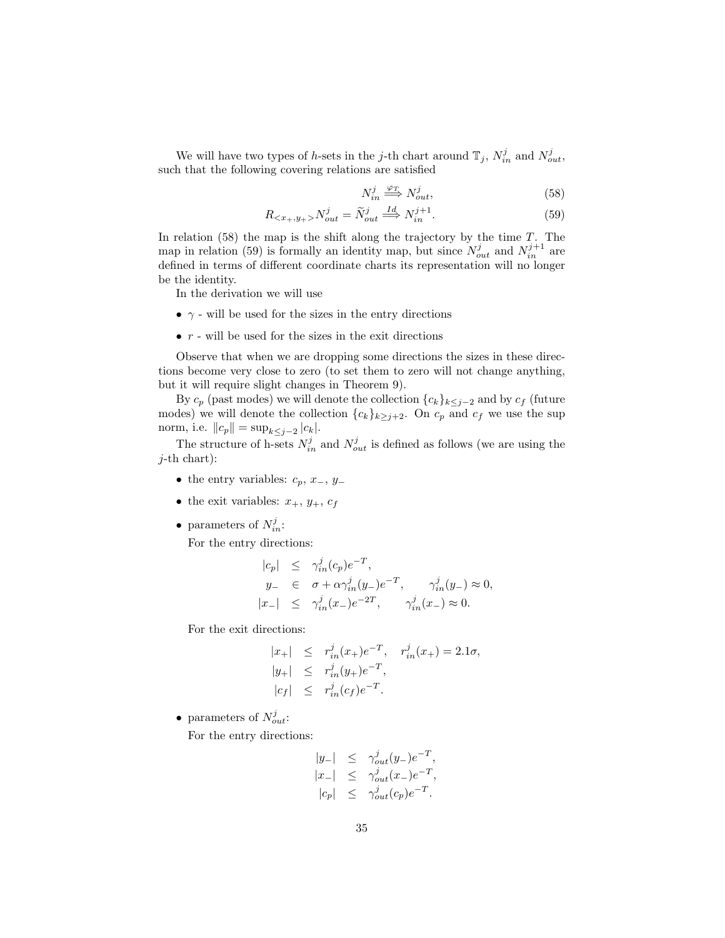We will have two types of h-sets in the j-th chart around  $\mathbb{T}_j$ ,  $N_{in}^j$  and  $N_{out}^j$ , such that the following covering relations are satisfied

$$
N_{in}^{j} \stackrel{\varphi_T}{\Longrightarrow} N_{out}^{j},\tag{58}
$$

$$
R_{< x_+, y_+>} N_{out}^j = \widetilde{N}_{out}^j \stackrel{Id}{\implies} N_{in}^{j+1}.\tag{59}
$$

In relation  $(58)$  the map is the shift along the trajectory by the time T. The map in relation (59) is formally an identity map, but since  $N_{out}^j$  and  $N_{in}^{j+1}$  are defined in terms of different coordinate charts its representation will no longer be the identity.

In the derivation we will use

- $\bullet$   $\gamma$  will be used for the sizes in the entry directions
- $\bullet\,$   $r$  will be used for the sizes in the exit directions

Observe that when we are dropping some directions the sizes in these directions become very close to zero (to set them to zero will not change anything, but it will require slight changes in Theorem 9).

By  $c_p$  (past modes) we will denote the collection  ${c_k}_{k \leq j-2}$  and by  $c_f$  (future modes) we will denote the collection  ${c_k}_{k\geq j+2}$ . On  $c_p$  and  $c_f$  we use the sup norm, i.e.  $||c_p|| = \sup_{k \leq j-2} |c_k|$ .

The structure of h-sets  $N_{in}^j$  and  $N_{out}^j$  is defined as follows (we are using the  $j$ -th chart):

- the entry variables:  $c_p, x_-, y_-$
- the exit variables:  $x_+$ ,  $y_+$ ,  $c_f$
- parameters of  $N_{in}^j$ :

For the entry directions:

$$
\begin{array}{rcl}\n|c_p| & \leq & \gamma_{in}^j(c_p)e^{-T}, \\
y_- & \in & \sigma + \alpha \gamma_{in}^j(y_-)e^{-T}, \qquad \gamma_{in}^j(y_-) \approx 0, \\
|x_-| & \leq & \gamma_{in}^j(x_-)e^{-2T}, \qquad \gamma_{in}^j(x_-) \approx 0.\n\end{array}
$$

For the exit directions:

$$
|x_{+}| \leq r_{in}^{j}(x_{+})e^{-T}, r_{in}^{j}(x_{+}) = 2.1\sigma,
$$
  
\n
$$
|y_{+}| \leq r_{in}^{j}(y_{+})e^{-T},
$$
  
\n
$$
|c_{f}| \leq r_{in}^{j}(c_{f})e^{-T}.
$$

• parameters of  $N_{out}^j$ :

For the entry directions:

$$
\begin{array}{rcl} |y_-| & \leq & \gamma_{out}^j(y_-) e^{-T}, \\ |x_-| & \leq & \gamma_{out}^j(x_-) e^{-T}, \\ |c_p| & \leq & \gamma_{out}^j(c_p) e^{-T}. \end{array}
$$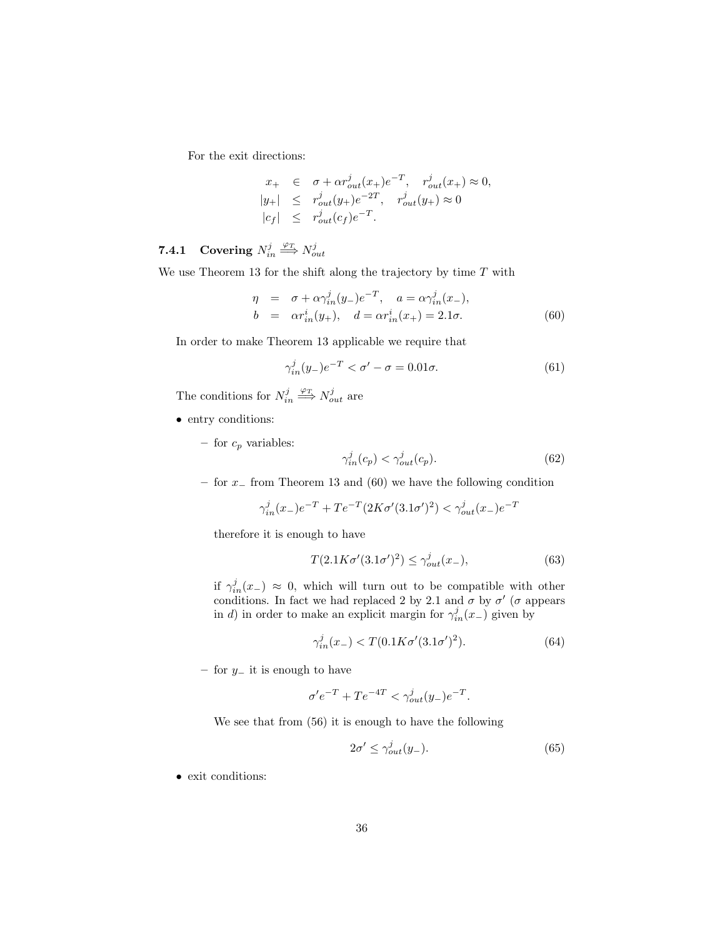For the exit directions:

$$
x_{+} \in \sigma + \alpha r_{out}^{j}(x_{+})e^{-T}, r_{out}^{j}(x_{+}) \approx 0,
$$
  
\n
$$
|y_{+}| \leq r_{out}^{j}(y_{+})e^{-2T}, r_{out}^{j}(y_{+}) \approx 0
$$
  
\n
$$
|c_{f}| \leq r_{out}^{j}(c_{f})e^{-T}.
$$

# **7.4.1** Covering  $N_{in}^j \stackrel{\varphi_T}{\Longrightarrow} N_{out}^j$

We use Theorem 13 for the shift along the trajectory by time  $T$  with

$$
\eta = \sigma + \alpha \gamma_{in}^{j}(y_{-})e^{-T}, \quad a = \alpha \gamma_{in}^{j}(x_{-}), \nb = \alpha r_{in}^{i}(y_{+}), \quad d = \alpha r_{in}^{i}(x_{+}) = 2.1\sigma.
$$
\n(60)

In order to make Theorem 13 applicable we require that

$$
\gamma_{in}^j(y_-)e^{-T} < \sigma' - \sigma = 0.01\sigma. \tag{61}
$$

The conditions for  $N_{in}^j \stackrel{\varphi_T}{\Longrightarrow} N_{out}^j$  are

- entry conditions:
	- for  $c_p$  variables:

$$
\gamma_{in}^j(c_p) < \gamma_{out}^j(c_p). \tag{62}
$$

– for x<sup>−</sup> from Theorem 13 and (60) we have the following condition

$$
\gamma_{in}^{j}(x_{-})e^{-T} + Te^{-T}(2K\sigma'(3.1\sigma')^{2}) < \gamma_{out}^{j}(x_{-})e^{-T}
$$

therefore it is enough to have

$$
T(2.1K\sigma'(3.1\sigma')^2) \le \gamma_{out}^j(x_-),\tag{63}
$$

if  $\gamma_{in}^j(x_-) \approx 0$ , which will turn out to be compatible with other conditions. In fact we had replaced 2 by 2.1 and  $\sigma$  by  $\sigma'$  ( $\sigma$  appears in d) in order to make an explicit margin for  $\gamma_{in}^j(x-)$  given by

$$
\gamma_{in}^{j}(x_{-}) < T(0.1K\sigma'(3.1\sigma')^{2}).\tag{64}
$$

– for y<sup>−</sup> it is enough to have

$$
\sigma' e^{-T} + T e^{-4T} < \gamma_{out}^j(y_-) e^{-T}.
$$

We see that from (56) it is enough to have the following

$$
2\sigma' \le \gamma_{out}^j(y_-). \tag{65}
$$

• exit conditions: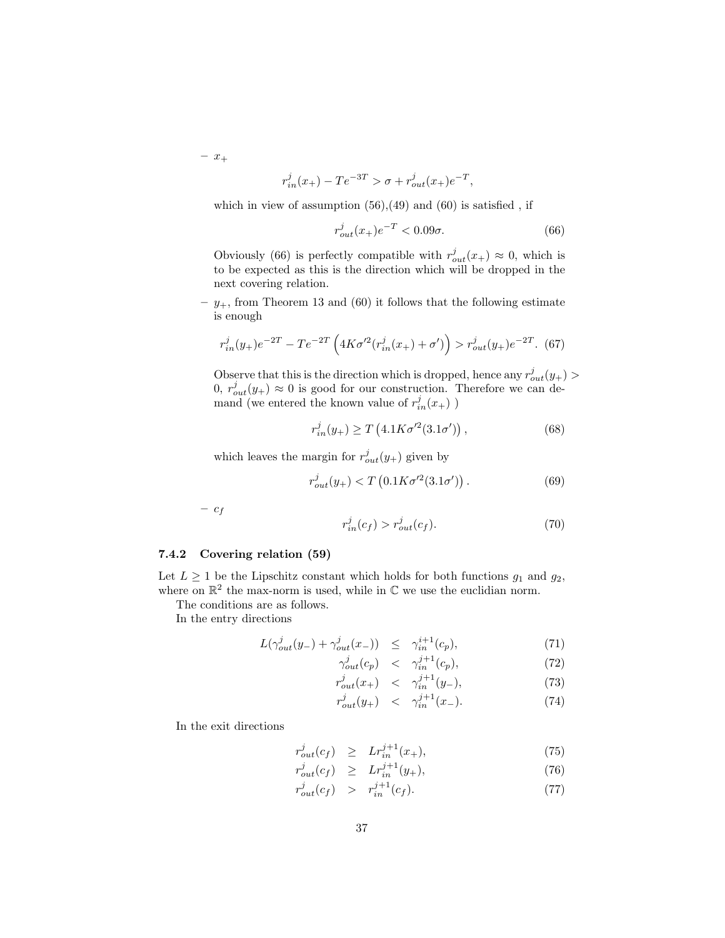$- x_+$ 

$$
r_{in}^{j}(x_{+}) - T e^{-3T} > \sigma + r_{out}^{j}(x_{+}) e^{-T},
$$

which in view of assumption  $(56),(49)$  and  $(60)$  is satisfied, if

$$
r_{out}^j(x_+)e^{-T} < 0.09\sigma. \tag{66}
$$

Obviously (66) is perfectly compatible with  $r_{out}^j(x_+) \approx 0$ , which is to be expected as this is the direction which will be dropped in the next covering relation.

–  $y_+$ , from Theorem 13 and (60) it follows that the following estimate is enough

$$
r_{in}^{j}(y_{+})e^{-2T} - Te^{-2T}\left(4K\sigma'^{2}(r_{in}^{j}(x_{+}) + \sigma')\right) > r_{out}^{j}(y_{+})e^{-2T}.\tag{67}
$$

Observe that this is the direction which is dropped, hence any  $r_{out}^j(y_+)$  $0, r_{out}^j(y_+) \approx 0$  is good for our construction. Therefore we can demand (we entered the known value of  $r_{in}^{j}(x_{+})$ )

$$
r_{in}^{j}(y_{+}) \ge T\left(4.1K\sigma^{\prime 2}(3.1\sigma^{\prime})\right),\tag{68}
$$

which leaves the margin for  $r_{out}^j(y_+)$  given by

$$
r_{out}^{j}(y_{+}) < T\left(0.1K\sigma^{\prime 2}(3.1\sigma^{\prime})\right). \tag{69}
$$

–  $c_f$ 

$$
r_{in}^j(c_f) > r_{out}^j(c_f). \tag{70}
$$

#### 7.4.2 Covering relation (59)

Let  $L \geq 1$  be the Lipschitz constant which holds for both functions  $g_1$  and  $g_2$ , where on  $\mathbb{R}^2$  the max-norm is used, while in  $\mathbb C$  we use the euclidian norm.

The conditions are as follows.

In the entry directions

$$
L(\gamma_{out}^j(y_-) + \gamma_{out}^j(x_-)) \leq \gamma_{in}^{i+1}(c_p), \tag{71}
$$

$$
\gamma_{out}^j(c_p) \quad < \quad \gamma_{in}^{j+1}(c_p),\tag{72}
$$

$$
r_{out}^j(x_+) \leq \gamma_{in}^{j+1}(y_-), \tag{73}
$$

$$
r_{out}^{j}(y_{+}) \quad < \quad \gamma_{in}^{j+1}(x_{-}). \tag{74}
$$

In the exit directions

$$
r_{out}^j(c_f) \ge L r_{in}^{j+1}(x_+), \tag{75}
$$

$$
r_{out}^j(c_f) \ge L r_{in}^{j+1}(y_+), \tag{76}
$$

$$
r_{out}^j(c_f) \quad > \quad r_{in}^{j+1}(c_f). \tag{77}
$$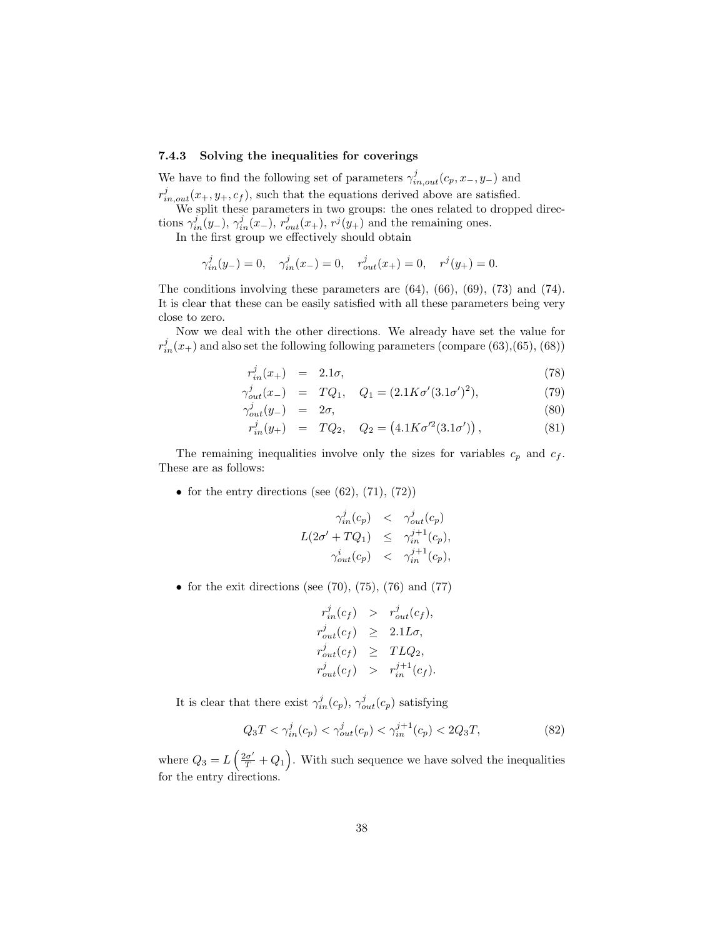#### 7.4.3 Solving the inequalities for coverings

We have to find the following set of parameters  $\gamma_{in,out}^j(c_p, x_-, y_-)$  and  $r_{in,out}^j(x_+,y_+,c_f)$ , such that the equations derived above are satisfied.

We split these parameters in two groups: the ones related to dropped directions  $\gamma_{in}^j(y_-), \gamma_{in}^j(x_-), r_{out}^j(x_+), r^j(y_+)$  and the remaining ones.

In the first group we effectively should obtain

$$
\gamma_{in}^{j}(y_{-})=0, \quad \gamma_{in}^{j}(x_{-})=0, \quad r_{out}^{j}(x_{+})=0, \quad r^{j}(y_{+})=0.
$$

The conditions involving these parameters are  $(64)$ ,  $(66)$ ,  $(69)$ ,  $(73)$  and  $(74)$ . It is clear that these can be easily satisfied with all these parameters being very close to zero.

Now we deal with the other directions. We already have set the value for  $r_{in}^j(x_+)$  and also set the following following parameters (compare (63), (65), (68))

$$
r_{in}^j(x_+) = 2.1\sigma, \t\t(78)
$$

$$
\gamma_{out}^j(x_-) = TQ_1, \quad Q_1 = (2.1K\sigma'(3.1\sigma')^2), \tag{79}
$$

$$
\gamma_{out}^j(y_-) = 2\sigma,\tag{80}
$$

$$
r_{in}^{j}(y_{+}) = TQ_{2}, \quad Q_{2} = (4.1K\sigma^{\prime 2}(3.1\sigma^{\prime})) , \tag{81}
$$

The remaining inequalities involve only the sizes for variables  $c_p$  and  $c_f$ . These are as follows:

• for the entry directions (see  $(62)$ ,  $(71)$ ,  $(72)$ )

$$
\gamma_{in}^{j}(c_p) \leq \gamma_{out}^{j}(c_p)
$$
  

$$
L(2\sigma' + TQ_1) \leq \gamma_{in}^{j+1}(c_p),
$$
  

$$
\gamma_{out}^{i}(c_p) \leq \gamma_{in}^{j+1}(c_p),
$$

• for the exit directions (see  $(70)$ ,  $(75)$ ,  $(76)$  and  $(77)$ 

$$
r_{in}^{j}(c_f) > r_{out}^{j}(c_f),
$$
  
\n
$$
r_{out}^{j}(c_f) \geq 2.1L\sigma,
$$
  
\n
$$
r_{out}^{j}(c_f) \geq TLQ_2,
$$
  
\n
$$
r_{out}^{j}(c_f) > r_{in}^{j+1}(c_f).
$$

It is clear that there exist  $\gamma^j_{in}(c_p)$ ,  $\gamma^j_{out}(c_p)$  satisfying

$$
Q_3 T < \gamma_{in}^j(c_p) < \gamma_{out}^j(c_p) < \gamma_{in}^{j+1}(c_p) < 2Q_3 T,\tag{82}
$$

where  $Q_3 = L\left(\frac{2\sigma'}{T} + Q_1\right)$ . With such sequence we have solved the inequalities for the entry directions.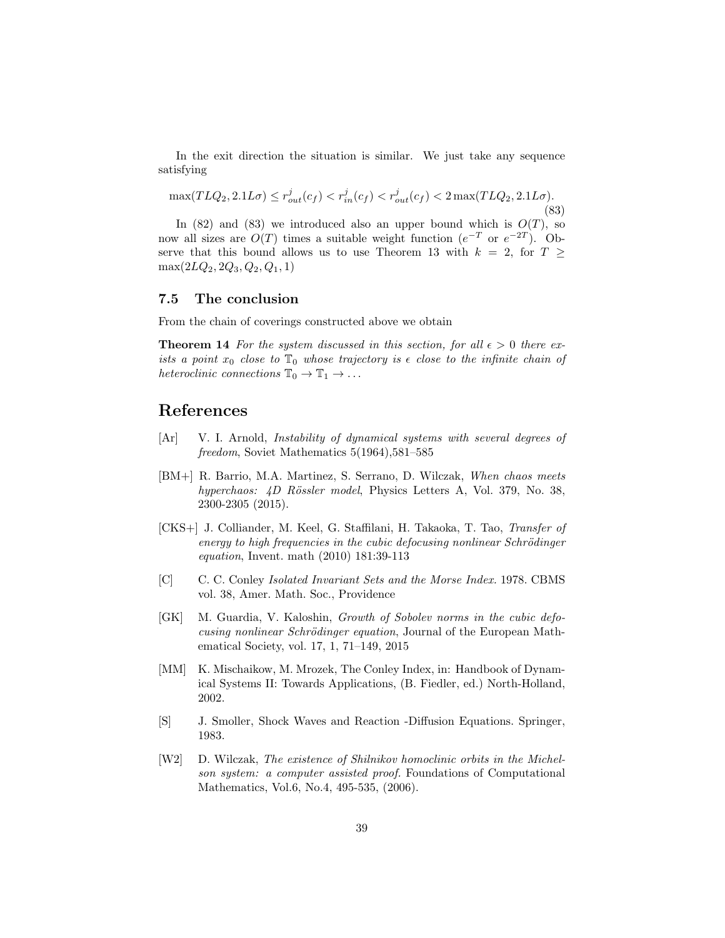In the exit direction the situation is similar. We just take any sequence satisfying

$$
\max(TLQ_2, 2.1L\sigma) \le r_{out}^j(c_f) < r_{in}^j(c_f) < r_{out}^j(c_f) < 2\max(TLQ_2, 2.1L\sigma). \tag{83}
$$

In (82) and (83) we introduced also an upper bound which is  $O(T)$ , so now all sizes are  $O(T)$  times a suitable weight function  $(e^{-T}$  or  $e^{-2T})$ . Observe that this bound allows us to use Theorem 13 with  $k = 2$ , for  $T \geq$  $\max(2LQ_2, 2Q_3, Q_2, Q_1, 1)$ 

### 7.5 The conclusion

From the chain of coverings constructed above we obtain

**Theorem 14** For the system discussed in this section, for all  $\epsilon > 0$  there exists a point  $x_0$  close to  $\mathbb{T}_0$  whose trajectory is  $\epsilon$  close to the infinite chain of heteroclinic connections  $\mathbb{T}_0 \to \mathbb{T}_1 \to \ldots$ 

## References

- [Ar] V. I. Arnold, *Instability of dynamical systems with several degrees of* freedom, Soviet Mathematics 5(1964),581–585
- [BM+] R. Barrio, M.A. Martinez, S. Serrano, D. Wilczak, When chaos meets hyperchaos:  $\angle D$  Rössler model, Physics Letters A, Vol. 379, No. 38, 2300-2305 (2015).
- [CKS+] J. Colliander, M. Keel, G. Staffilani, H. Takaoka, T. Tao, Transfer of energy to high frequencies in the cubic defocusing nonlinear Schrödinger equation, Invent. math (2010) 181:39-113
- [C] C. C. Conley Isolated Invariant Sets and the Morse Index. 1978. CBMS vol. 38, Amer. Math. Soc., Providence
- [GK] M. Guardia, V. Kaloshin, Growth of Sobolev norms in the cubic defocusing nonlinear Schrödinger equation, Journal of the European Mathematical Society, vol. 17, 1, 71–149, 2015
- [MM] K. Mischaikow, M. Mrozek, The Conley Index, in: Handbook of Dynamical Systems II: Towards Applications, (B. Fiedler, ed.) North-Holland, 2002.
- [S] J. Smoller, Shock Waves and Reaction -Diffusion Equations. Springer, 1983.
- [W2] D. Wilczak, The existence of Shilnikov homoclinic orbits in the Michelson system: a computer assisted proof. Foundations of Computational Mathematics, Vol.6, No.4, 495-535, (2006).